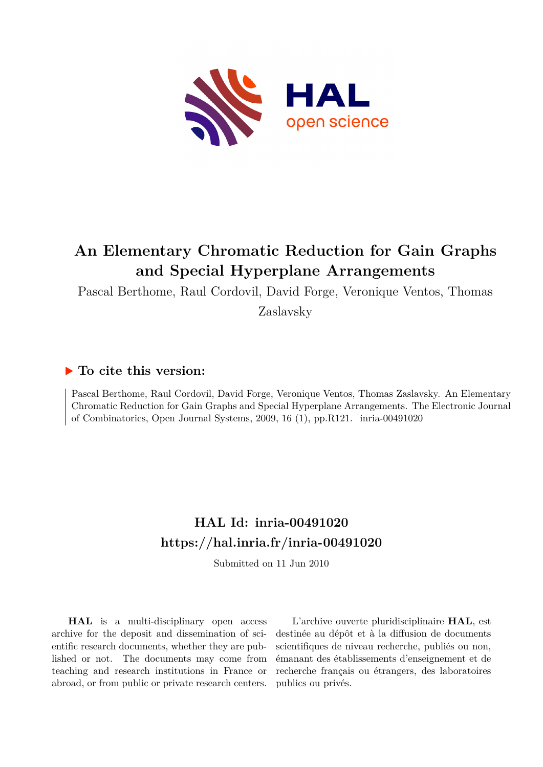

## **An Elementary Chromatic Reduction for Gain Graphs and Special Hyperplane Arrangements**

Pascal Berthome, Raul Cordovil, David Forge, Veronique Ventos, Thomas

Zaslavsky

### **To cite this version:**

Pascal Berthome, Raul Cordovil, David Forge, Veronique Ventos, Thomas Zaslavsky. An Elementary Chromatic Reduction for Gain Graphs and Special Hyperplane Arrangements. The Electronic Journal of Combinatorics, Open Journal Systems, 2009, 16 (1), pp.R121. inria-00491020

### **HAL Id: inria-00491020 <https://hal.inria.fr/inria-00491020>**

Submitted on 11 Jun 2010

**HAL** is a multi-disciplinary open access archive for the deposit and dissemination of scientific research documents, whether they are published or not. The documents may come from teaching and research institutions in France or abroad, or from public or private research centers.

L'archive ouverte pluridisciplinaire **HAL**, est destinée au dépôt et à la diffusion de documents scientifiques de niveau recherche, publiés ou non, émanant des établissements d'enseignement et de recherche français ou étrangers, des laboratoires publics ou privés.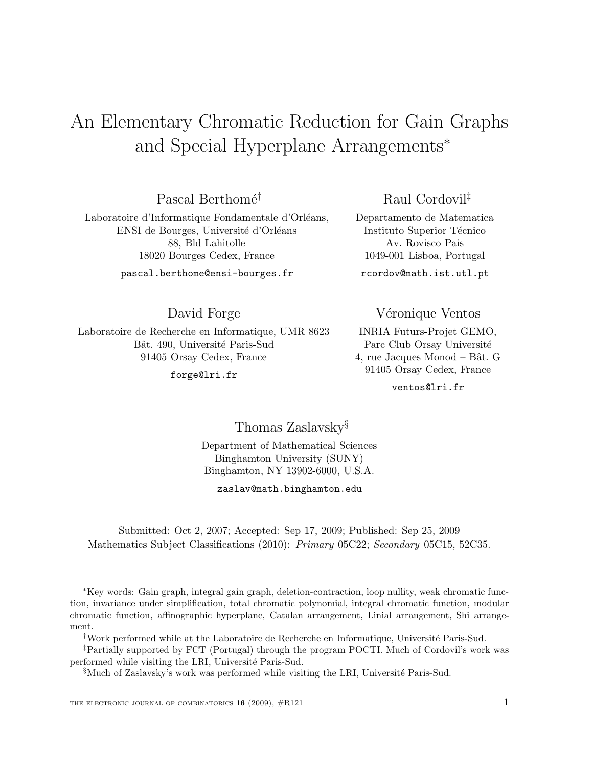# An Elementary Chromatic Reduction for Gain Graphs and Special Hyperplane Arrangements<sup>∗</sup>

Pascal Berthomé<sup>†</sup>

Laboratoire d'Informatique Fondamentale d'Orléans, ENSI de Bourges, Université d'Orléans 88, Bld Lahitolle 18020 Bourges Cedex, France

pascal.berthome@ensi-bourges.fr

David Forge

Laboratoire de Recherche en Informatique, UMR 8623 Bât. 490, Université Paris-Sud 91405 Orsay Cedex, France

forge@lri.fr

Raul Cordovil‡

Departamento de Matematica Instituto Superior Técnico Av. Rovisco Pais 1049-001 Lisboa, Portugal

rcordov@math.ist.utl.pt

Véronique Ventos

INRIA Futurs-Projet GEMO, Parc Club Orsay Université 4, rue Jacques Monod – Bât. G 91405 Orsay Cedex, France

ventos@lri.fr

Thomas Zaslavsky§

Department of Mathematical Sciences Binghamton University (SUNY) Binghamton, NY 13902-6000, U.S.A.

zaslav@math.binghamton.edu

Submitted: Oct 2, 2007; Accepted: Sep 17, 2009; Published: Sep 25, 2009 Mathematics Subject Classifications (2010): *Primary* 05C22; *Secondary* 05C15, 52C35.

<sup>∗</sup>Key words: Gain graph, integral gain graph, deletion-contraction, loop nullity, weak chromatic function, invariance under simplification, total chromatic polynomial, integral chromatic function, modular chromatic function, affinographic hyperplane, Catalan arrangement, Linial arrangement, Shi arrangement.

<sup>&</sup>lt;sup>†</sup>Work performed while at the Laboratoire de Recherche en Informatique, Université Paris-Sud.

<sup>‡</sup>Partially supported by FCT (Portugal) through the program POCTI. Much of Cordovil's work was performed while visiting the LRI, Université Paris-Sud.

 $\delta$ Much of Zaslavsky's work was performed while visiting the LRI, Université Paris-Sud.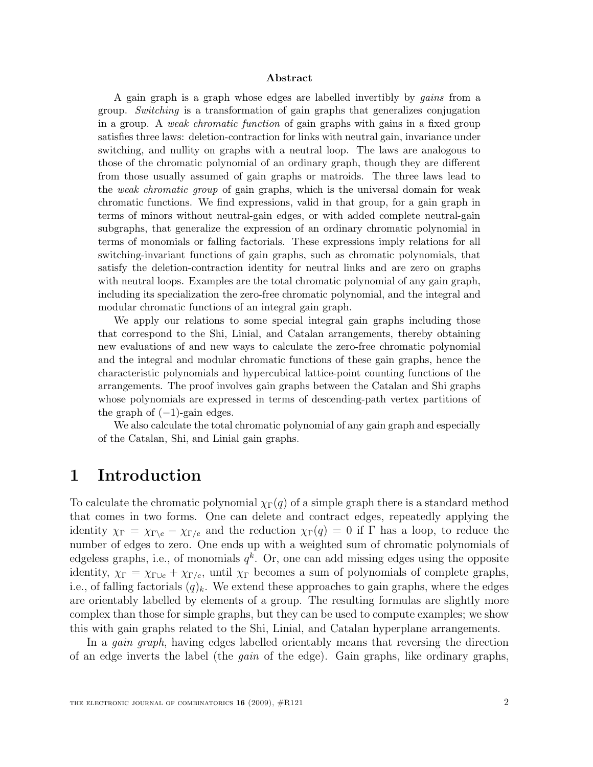#### Abstract

A gain graph is a graph whose edges are labelled invertibly by gains from a group. Switching is a transformation of gain graphs that generalizes conjugation in a group. A weak chromatic function of gain graphs with gains in a fixed group satisfies three laws: deletion-contraction for links with neutral gain, invariance under switching, and nullity on graphs with a neutral loop. The laws are analogous to those of the chromatic polynomial of an ordinary graph, though they are different from those usually assumed of gain graphs or matroids. The three laws lead to the weak chromatic group of gain graphs, which is the universal domain for weak chromatic functions. We find expressions, valid in that group, for a gain graph in terms of minors without neutral-gain edges, or with added complete neutral-gain subgraphs, that generalize the expression of an ordinary chromatic polynomial in terms of monomials or falling factorials. These expressions imply relations for all switching-invariant functions of gain graphs, such as chromatic polynomials, that satisfy the deletion-contraction identity for neutral links and are zero on graphs with neutral loops. Examples are the total chromatic polynomial of any gain graph, including its specialization the zero-free chromatic polynomial, and the integral and modular chromatic functions of an integral gain graph.

We apply our relations to some special integral gain graphs including those that correspond to the Shi, Linial, and Catalan arrangements, thereby obtaining new evaluations of and new ways to calculate the zero-free chromatic polynomial and the integral and modular chromatic functions of these gain graphs, hence the characteristic polynomials and hypercubical lattice-point counting functions of the arrangements. The proof involves gain graphs between the Catalan and Shi graphs whose polynomials are expressed in terms of descending-path vertex partitions of the graph of  $(-1)$ -gain edges.

We also calculate the total chromatic polynomial of any gain graph and especially of the Catalan, Shi, and Linial gain graphs.

### 1 Introduction

To calculate the chromatic polynomial  $\chi_{\Gamma}(q)$  of a simple graph there is a standard method that comes in two forms. One can delete and contract edges, repeatedly applying the identity  $\chi_{\Gamma} = \chi_{\Gamma\setminus e} - \chi_{\Gamma/e}$  and the reduction  $\chi_{\Gamma}(q) = 0$  if  $\Gamma$  has a loop, to reduce the number of edges to zero. One ends up with a weighted sum of chromatic polynomials of edgeless graphs, i.e., of monomials  $q^k$ . Or, one can add missing edges using the opposite identity,  $\chi_{\Gamma} = \chi_{\Gamma \cup e} + \chi_{\Gamma / e}$ , until  $\chi_{\Gamma}$  becomes a sum of polynomials of complete graphs, i.e., of falling factorials  $(q)_k$ . We extend these approaches to gain graphs, where the edges are orientably labelled by elements of a group. The resulting formulas are slightly more complex than those for simple graphs, but they can be used to compute examples; we show this with gain graphs related to the Shi, Linial, and Catalan hyperplane arrangements.

In a *gain graph*, having edges labelled orientably means that reversing the direction of an edge inverts the label (the *gain* of the edge). Gain graphs, like ordinary graphs,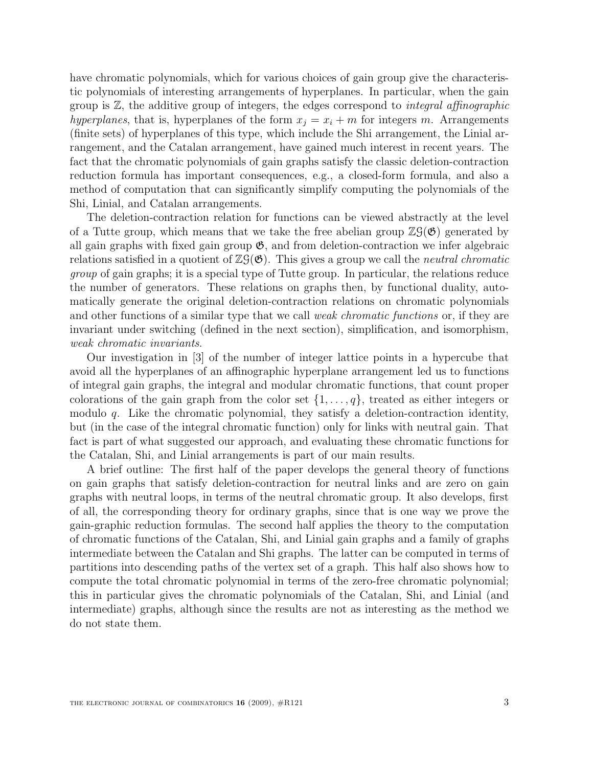have chromatic polynomials, which for various choices of gain group give the characteristic polynomials of interesting arrangements of hyperplanes. In particular, when the gain group is  $\mathbb{Z}$ , the additive group of integers, the edges correspond to *integral affinographic* hyperplanes, that is, hyperplanes of the form  $x_i = x_i + m$  for integers m. Arrangements (finite sets) of hyperplanes of this type, which include the Shi arrangement, the Linial arrangement, and the Catalan arrangement, have gained much interest in recent years. The fact that the chromatic polynomials of gain graphs satisfy the classic deletion-contraction reduction formula has important consequences, e.g., a closed-form formula, and also a method of computation that can significantly simplify computing the polynomials of the Shi, Linial, and Catalan arrangements.

The deletion-contraction relation for functions can be viewed abstractly at the level of a Tutte group, which means that we take the free abelian group  $\mathbb{Z}(\mathfrak{G})$  generated by all gain graphs with fixed gain group  $\mathfrak{G}$ , and from deletion-contraction we infer algebraic relations satisfied in a quotient of  $\mathbb{Z}(\mathfrak{G})$ . This gives a group we call the *neutral chromatic* group of gain graphs; it is a special type of Tutte group. In particular, the relations reduce the number of generators. These relations on graphs then, by functional duality, automatically generate the original deletion-contraction relations on chromatic polynomials and other functions of a similar type that we call weak chromatic functions or, if they are invariant under switching (defined in the next section), simplification, and isomorphism, weak chromatic invariants.

Our investigation in [3] of the number of integer lattice points in a hypercube that avoid all the hyperplanes of an affinographic hyperplane arrangement led us to functions of integral gain graphs, the integral and modular chromatic functions, that count proper colorations of the gain graph from the color set  $\{1, \ldots, q\}$ , treated as either integers or modulo  $q$ . Like the chromatic polynomial, they satisfy a deletion-contraction identity, but (in the case of the integral chromatic function) only for links with neutral gain. That fact is part of what suggested our approach, and evaluating these chromatic functions for the Catalan, Shi, and Linial arrangements is part of our main results.

A brief outline: The first half of the paper develops the general theory of functions on gain graphs that satisfy deletion-contraction for neutral links and are zero on gain graphs with neutral loops, in terms of the neutral chromatic group. It also develops, first of all, the corresponding theory for ordinary graphs, since that is one way we prove the gain-graphic reduction formulas. The second half applies the theory to the computation of chromatic functions of the Catalan, Shi, and Linial gain graphs and a family of graphs intermediate between the Catalan and Shi graphs. The latter can be computed in terms of partitions into descending paths of the vertex set of a graph. This half also shows how to compute the total chromatic polynomial in terms of the zero-free chromatic polynomial; this in particular gives the chromatic polynomials of the Catalan, Shi, and Linial (and intermediate) graphs, although since the results are not as interesting as the method we do not state them.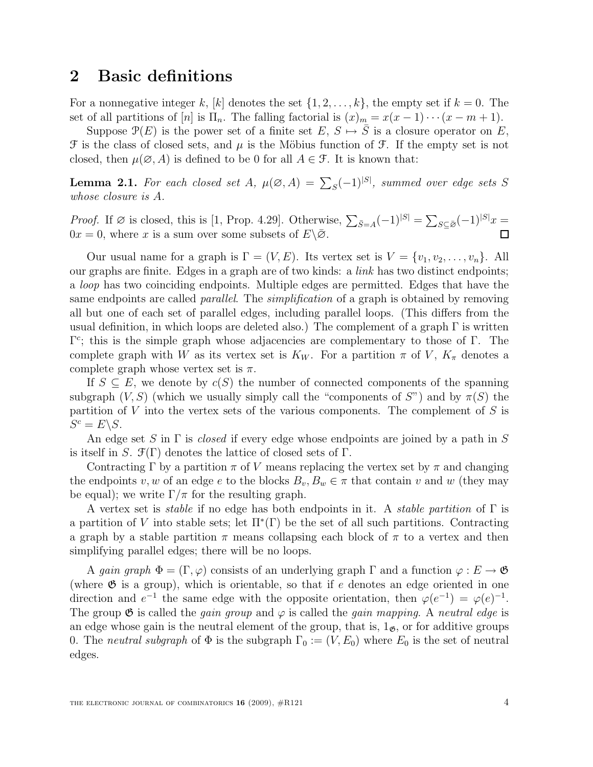#### 2 Basic definitions

For a nonnegative integer k, [k] denotes the set  $\{1, 2, \ldots, k\}$ , the empty set if  $k = 0$ . The set of all partitions of [n] is  $\Pi_n$ . The falling factorial is  $(x)_m = x(x-1)\cdots(x-m+1)$ .

Suppose  $\mathcal{P}(E)$  is the power set of a finite set  $E, S \mapsto \overline{S}$  is a closure operator on E,  $\mathcal F$  is the class of closed sets, and  $\mu$  is the Möbius function of  $\mathcal F$ . If the empty set is not closed, then  $\mu(\emptyset, A)$  is defined to be 0 for all  $A \in \mathcal{F}$ . It is known that:

**Lemma 2.1.** For each closed set  $A$ ,  $\mu(\emptyset, A) = \sum_{S} (-1)^{|S|}$ , summed over edge sets  $S$ whose closure is A.

*Proof.* If  $\emptyset$  is closed, this is [1, Prop. 4.29]. Otherwise,  $\sum_{\bar{S}=A}(-1)^{|S|} = \sum_{S \subseteq \bar{\emptyset}}(-1)^{|S|}x =$  $0x = 0$ , where x is a sum over some subsets of  $E\backslash\overline{\mathcal{O}}$ . П

Our usual name for a graph is  $\Gamma = (V, E)$ . Its vertex set is  $V = \{v_1, v_2, \ldots, v_n\}$ . All our graphs are finite. Edges in a graph are of two kinds: a link has two distinct endpoints; a loop has two coinciding endpoints. Multiple edges are permitted. Edges that have the same endpoints are called *parallel*. The *simplification* of a graph is obtained by removing all but one of each set of parallel edges, including parallel loops. (This differs from the usual definition, in which loops are deleted also.) The complement of a graph  $\Gamma$  is written  $\Gamma^c$ ; this is the simple graph whose adjacencies are complementary to those of  $\Gamma$ . The complete graph with W as its vertex set is  $K_W$ . For a partition  $\pi$  of V,  $K_{\pi}$  denotes a complete graph whose vertex set is  $\pi$ .

If  $S \subseteq E$ , we denote by  $c(S)$  the number of connected components of the spanning subgraph  $(V, S)$  (which we usually simply call the "components of S") and by  $\pi(S)$  the partition of V into the vertex sets of the various components. The complement of S is  $S^c = E \backslash S$ .

An edge set S in  $\Gamma$  is *closed* if every edge whose endpoints are joined by a path in S is itself in S.  $\mathfrak{F}(\Gamma)$  denotes the lattice of closed sets of  $\Gamma$ .

Contracting Γ by a partition  $\pi$  of V means replacing the vertex set by  $\pi$  and changing the endpoints v, w of an edge e to the blocks  $B_v, B_w \in \pi$  that contain v and w (they may be equal); we write  $\Gamma/\pi$  for the resulting graph.

A vertex set is *stable* if no edge has both endpoints in it. A *stable partition* of  $\Gamma$  is a partition of V into stable sets; let  $\Pi^*(\Gamma)$  be the set of all such partitions. Contracting a graph by a stable partition  $\pi$  means collapsing each block of  $\pi$  to a vertex and then simplifying parallel edges; there will be no loops.

A gain graph  $\Phi = (\Gamma, \varphi)$  consists of an underlying graph  $\Gamma$  and a function  $\varphi : E \to \mathfrak{G}$ (where  $\mathfrak G$  is a group), which is orientable, so that if e denotes an edge oriented in one direction and  $e^{-1}$  the same edge with the opposite orientation, then  $\varphi(e^{-1}) = \varphi(e)^{-1}$ . The group  $\mathfrak G$  is called the *gain group* and  $\varphi$  is called the *gain mapping*. A *neutral edge* is an edge whose gain is the neutral element of the group, that is,  $1_{\mathfrak{G}}$ , or for additive groups 0. The neutral subgraph of  $\Phi$  is the subgraph  $\Gamma_0 := (V, E_0)$  where  $E_0$  is the set of neutral edges.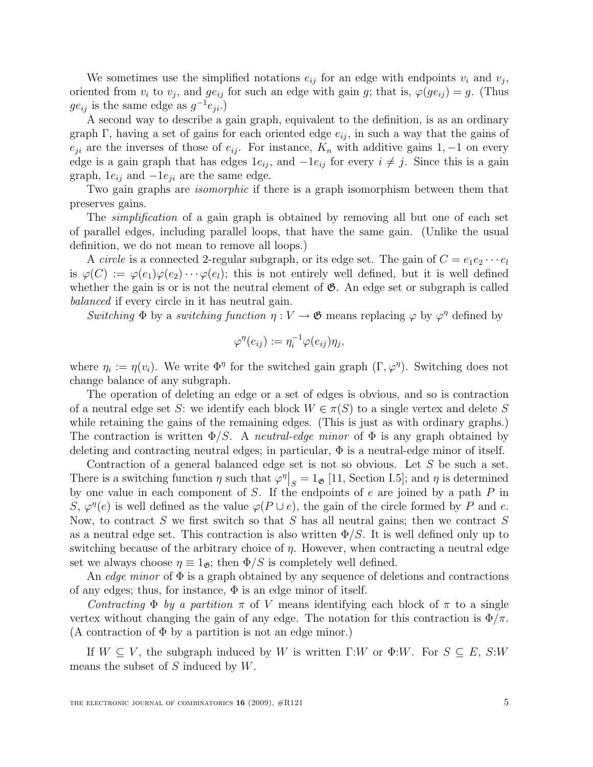We sometimes use the simplified notations  $e_{ij}$  for an edge with endpoints  $v_i$  and  $v_j$ , oriented from  $v_i$  to  $v_j$ , and  $ge_{ij}$  for such an edge with gain g; that is,  $\varphi(ge_{ij}) = g$ . (Thus  $ge_{ij}$  is the same edge as  $g^{-1}e_{ji}.$ 

A second way to describe a gain graph, equivalent to the definition, is as an ordinary graph Γ, having a set of gains for each oriented edge  $e_{ij}$ , in such a way that the gains of  $e_{ji}$  are the inverses of those of  $e_{ij}$ . For instance,  $K_n$  with additive gains 1, -1 on every edge is a gain graph that has edges  $1e_{ij}$ , and  $-1e_{ij}$  for every  $i \neq j$ . Since this is a gain graph,  $1e_{ij}$  and  $-1e_{ji}$  are the same edge.

Two gain graphs are *isomorphic* if there is a graph isomorphism between them that preserves gains.

The *simplification* of a gain graph is obtained by removing all but one of each set of parallel edges, including parallel loops, that have the same gain. (Unlike the usual definition, we do not mean to remove all loops.)

A circle is a connected 2-regular subgraph, or its edge set. The gain of  $C = e_1e_2 \cdots e_l$ is  $\varphi(C) := \varphi(e_1)\varphi(e_2)\cdots\varphi(e_l)$ ; this is not entirely well defined, but it is well defined whether the gain is or is not the neutral element of  $\mathfrak{G}$ . An edge set or subgraph is called balanced if every circle in it has neutral gain.

Switching  $\Phi$  by a switching function  $\eta: V \to \mathfrak{G}$  means replacing  $\varphi$  by  $\varphi^{\eta}$  defined by

$$
\varphi^{\eta}(e_{ij}) := \eta_i^{-1} \varphi(e_{ij}) \eta_j,
$$

where  $\eta_i := \eta(v_i)$ . We write  $\Phi^{\eta}$  for the switched gain graph  $(\Gamma, \varphi^{\eta})$ . Switching does not change balance of any subgraph.

The operation of deleting an edge or a set of edges is obvious, and so is contraction of a neutral edge set S: we identify each block  $W \in \pi(S)$  to a single vertex and delete S while retaining the gains of the remaining edges. (This is just as with ordinary graphs.) The contraction is written  $\Phi/S$ . A *neutral-edge minor* of  $\Phi$  is any graph obtained by deleting and contracting neutral edges; in particular,  $\Phi$  is a neutral-edge minor of itself.

Contraction of a general balanced edge set is not so obvious. Let S be such a set. There is a switching function  $\eta$  such that  $\varphi^{\eta}|_S = 1_{\mathfrak{G}}$  [11, Section I.5]; and  $\eta$  is determined by one value in each component of  $S$ . If the endpoints of  $e$  are joined by a path  $P$  in S,  $\varphi^{\eta}(e)$  is well defined as the value  $\varphi(P \cup e)$ , the gain of the circle formed by P and e. Now, to contract S we first switch so that S has all neutral gains; then we contract S as a neutral edge set. This contraction is also written  $\Phi/S$ . It is well defined only up to switching because of the arbitrary choice of  $\eta$ . However, when contracting a neutral edge set we always choose  $\eta \equiv 1_{\mathfrak{G}}$ ; then  $\Phi/S$  is completely well defined.

An *edge minor* of  $\Phi$  is a graph obtained by any sequence of deletions and contractions of any edges; thus, for instance,  $\Phi$  is an edge minor of itself.

Contracting  $\Phi$  by a partition  $\pi$  of V means identifying each block of  $\pi$  to a single vertex without changing the gain of any edge. The notation for this contraction is  $\Phi/\pi$ . (A contraction of  $\Phi$  by a partition is not an edge minor.)

If  $W \subseteq V$ , the subgraph induced by W is written  $\Gamma:W$  or  $\Phi:W$ . For  $S \subseteq E$ ,  $S:W$ means the subset of  $S$  induced by  $W$ .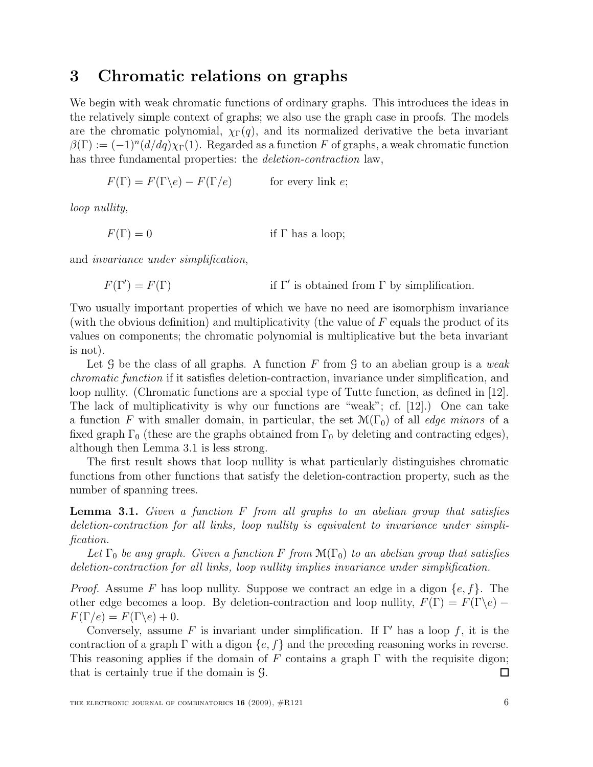### 3 Chromatic relations on graphs

We begin with weak chromatic functions of ordinary graphs. This introduces the ideas in the relatively simple context of graphs; we also use the graph case in proofs. The models are the chromatic polynomial,  $\chi_{\Gamma}(q)$ , and its normalized derivative the beta invariant  $\beta(\Gamma) := (-1)^n (d/dq) \chi_{\Gamma}(1)$ . Regarded as a function F of graphs, a weak chromatic function has three fundamental properties: the *deletion-contraction* law,

$$
F(\Gamma) = F(\Gamma \backslash e) - F(\Gamma / e)
$$
 for every link *e*;

loop nullity,

 $F(\Gamma) = 0$  if  $\Gamma$  has a loop;

and invariance under simplification,

 $F(\Gamma') = F(\Gamma)$  if  $\Gamma'$ if Γ' is obtained from Γ by simplification.

Two usually important properties of which we have no need are isomorphism invariance (with the obvious definition) and multiplicativity (the value of  $F$  equals the product of its values on components; the chromatic polynomial is multiplicative but the beta invariant is not).

Let  $\mathcal G$  be the class of all graphs. A function F from  $\mathcal G$  to an abelian group is a weak chromatic function if it satisfies deletion-contraction, invariance under simplification, and loop nullity. (Chromatic functions are a special type of Tutte function, as defined in [12]. The lack of multiplicativity is why our functions are "weak"; cf. [12].) One can take a function F with smaller domain, in particular, the set  $\mathcal{M}(\Gamma_0)$  of all *edge minors* of a fixed graph  $\Gamma_0$  (these are the graphs obtained from  $\Gamma_0$  by deleting and contracting edges), although then Lemma 3.1 is less strong.

The first result shows that loop nullity is what particularly distinguishes chromatic functions from other functions that satisfy the deletion-contraction property, such as the number of spanning trees.

**Lemma 3.1.** Given a function  $F$  from all graphs to an abelian group that satisfies deletion-contraction for all links, loop nullity is equivalent to invariance under simplification.

Let  $\Gamma_0$  be any graph. Given a function F from  $\mathcal{M}(\Gamma_0)$  to an abelian group that satisfies deletion-contraction for all links, loop nullity implies invariance under simplification.

*Proof.* Assume F has loop nullity. Suppose we contract an edge in a digon  $\{e, f\}$ . The other edge becomes a loop. By deletion-contraction and loop nullity,  $F(\Gamma) = F(\Gamma \backslash e)$  $F(\Gamma/e) = F(\Gamma\backslash e) + 0.$ 

Conversely, assume F is invariant under simplification. If  $\Gamma'$  has a loop f, it is the contraction of a graph  $\Gamma$  with a digon  $\{e, f\}$  and the preceding reasoning works in reverse. This reasoning applies if the domain of F contains a graph  $\Gamma$  with the requisite digon; that is certainly true if the domain is G. □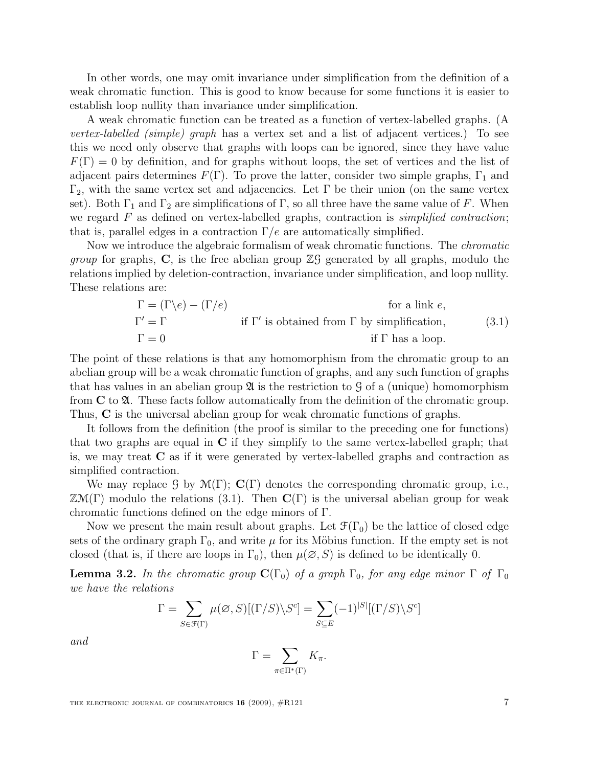In other words, one may omit invariance under simplification from the definition of a weak chromatic function. This is good to know because for some functions it is easier to establish loop nullity than invariance under simplification.

A weak chromatic function can be treated as a function of vertex-labelled graphs. (A *vertex-labelled (simple) graph* has a vertex set and a list of adjacent vertices.) To see this we need only observe that graphs with loops can be ignored, since they have value  $F(\Gamma) = 0$  by definition, and for graphs without loops, the set of vertices and the list of adjacent pairs determines  $F(\Gamma)$ . To prove the latter, consider two simple graphs,  $\Gamma_1$  and  $Γ_2$ , with the same vertex set and adjacencies. Let Γ be their union (on the same vertex set). Both  $\Gamma_1$  and  $\Gamma_2$  are simplifications of  $\Gamma$ , so all three have the same value of F. When we regard  $F$  as defined on vertex-labelled graphs, contraction is *simplified contraction*; that is, parallel edges in a contraction  $\Gamma/e$  are automatically simplified.

Now we introduce the algebraic formalism of weak chromatic functions. The *chromatic group* for graphs,  $C$ , is the free abelian group  $\mathbb{Z}$  generated by all graphs, modulo the relations implied by deletion-contraction, invariance under simplification, and loop nullity. These relations are:

$$
\Gamma = (\Gamma \backslash e) - (\Gamma / e)
$$
 for a link *e*,  
\n
$$
\Gamma' = \Gamma
$$
 if  $\Gamma'$  is obtained from  $\Gamma$  by simplification,  
\n
$$
\Gamma = 0
$$
 if  $\Gamma$  has a loop. (3.1)

The point of these relations is that any homomorphism from the chromatic group to an abelian group will be a weak chromatic function of graphs, and any such function of graphs that has values in an abelian group  $\mathfrak A$  is the restriction to  $\mathfrak G$  of a (unique) homomorphism from  $C$  to  $\mathfrak{A}$ . These facts follow automatically from the definition of the chromatic group. Thus, C is the universal abelian group for weak chromatic functions of graphs.

It follows from the definition (the proof is similar to the preceding one for functions) that two graphs are equal in  $C$  if they simplify to the same vertex-labelled graph; that is, we may treat C as if it were generated by vertex-labelled graphs and contraction as simplified contraction.

We may replace G by  $\mathcal{M}(\Gamma); \mathbf{C}(\Gamma)$  denotes the corresponding chromatic group, i.e.,  $\mathbb{Z}M(\Gamma)$  modulo the relations (3.1). Then  $\mathbf{C}(\Gamma)$  is the universal abelian group for weak chromatic functions defined on the edge minors of Γ.

Now we present the main result about graphs. Let  $\mathfrak{F}(\Gamma_0)$  be the lattice of closed edge sets of the ordinary graph  $\Gamma_0$ , and write  $\mu$  for its Möbius function. If the empty set is not closed (that is, if there are loops in  $\Gamma_0$ ), then  $\mu(\emptyset, S)$  is defined to be identically 0.

**Lemma 3.2.** In the chromatic group  $\mathbf{C}(\Gamma_0)$  of a graph  $\Gamma_0$ , for any edge minor  $\Gamma$  of  $\Gamma_0$ we have the relations

$$
\Gamma = \sum_{S \in \mathcal{F}(\Gamma)} \mu(\emptyset, S)[(\Gamma/S) \backslash S^c] = \sum_{S \subseteq E} (-1)^{|S|} [(\Gamma/S) \backslash S^c]
$$

and

$$
\Gamma = \sum_{\pi \in \Pi^*(\Gamma)} K_{\pi}.
$$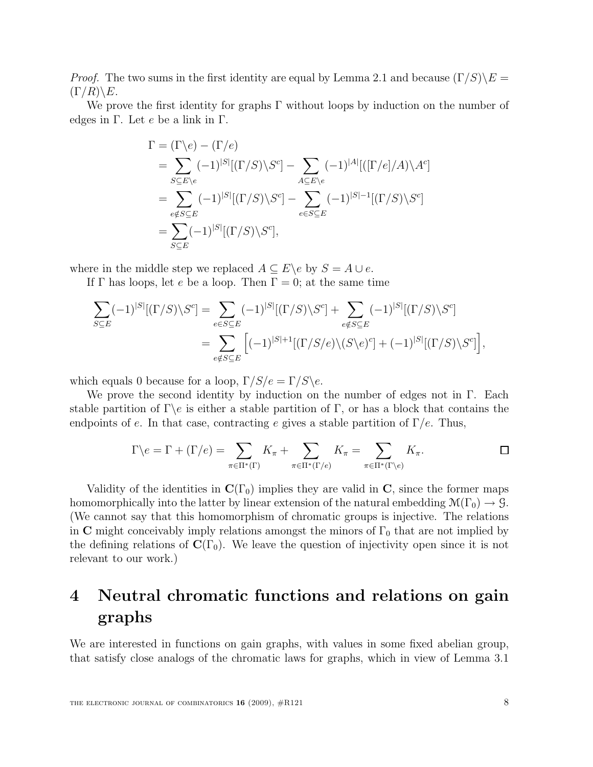*Proof.* The two sums in the first identity are equal by Lemma 2.1 and because  $(\Gamma/S)\E$  =  $(\Gamma/R)\backslash E$ .

We prove the first identity for graphs  $\Gamma$  without loops by induction on the number of edges in  $\Gamma$ . Let  $e$  be a link in  $\Gamma$ .

$$
\Gamma = (\Gamma \backslash e) - (\Gamma / e)
$$
\n
$$
= \sum_{S \subseteq E \backslash e} (-1)^{|S|} [(\Gamma / S) \backslash S^c] - \sum_{A \subseteq E \backslash e} (-1)^{|A|} [([\Gamma / e] / A) \backslash A^c]
$$
\n
$$
= \sum_{e \notin S \subseteq E} (-1)^{|S|} [(\Gamma / S) \backslash S^c] - \sum_{e \in S \subseteq E} (-1)^{|S| - 1} [(\Gamma / S) \backslash S^c]
$$
\n
$$
= \sum_{S \subseteq E} (-1)^{|S|} [(\Gamma / S) \backslash S^c],
$$

where in the middle step we replaced  $A \subseteq E \backslash e$  by  $S = A \cup e$ .

If  $\Gamma$  has loops, let e be a loop. Then  $\Gamma = 0$ ; at the same time

$$
\sum_{S \subseteq E} (-1)^{|S|} [(\Gamma/S) \backslash S^c] = \sum_{e \in S \subseteq E} (-1)^{|S|} [(\Gamma/S) \backslash S^c] + \sum_{e \notin S \subseteq E} (-1)^{|S|} [(\Gamma/S) \backslash S^c]
$$
  
= 
$$
\sum_{e \notin S \subseteq E} [(-1)^{|S|+1} [(\Gamma/S/e) \backslash (S \backslash e)^c] + (-1)^{|S|} [(\Gamma/S) \backslash S^c] ,
$$

which equals 0 because for a loop,  $\Gamma/S/e = \Gamma/S \e$ .

We prove the second identity by induction on the number of edges not in Γ. Each stable partition of  $\Gamma \$ e is either a stable partition of  $\Gamma$ , or has a block that contains the endpoints of e. In that case, contracting e gives a stable partition of  $\Gamma/e$ . Thus,

$$
\Gamma \backslash e = \Gamma + (\Gamma / e) = \sum_{\pi \in \Pi^*(\Gamma)} K_{\pi} + \sum_{\pi \in \Pi^*(\Gamma / e)} K_{\pi} = \sum_{\pi \in \Pi^*(\Gamma \backslash e)} K_{\pi}.
$$

Validity of the identities in  $C(\Gamma_0)$  implies they are valid in C, since the former maps homomorphically into the latter by linear extension of the natural embedding  $\mathcal{M}(\Gamma_0) \to \mathcal{G}$ . (We cannot say that this homomorphism of chromatic groups is injective. The relations in C might conceivably imply relations amongst the minors of  $\Gamma_0$  that are not implied by the defining relations of  $\mathbf{C}(\Gamma_0)$ . We leave the question of injectivity open since it is not relevant to our work.)

### 4 Neutral chromatic functions and relations on gain graphs

We are interested in functions on gain graphs, with values in some fixed abelian group, that satisfy close analogs of the chromatic laws for graphs, which in view of Lemma 3.1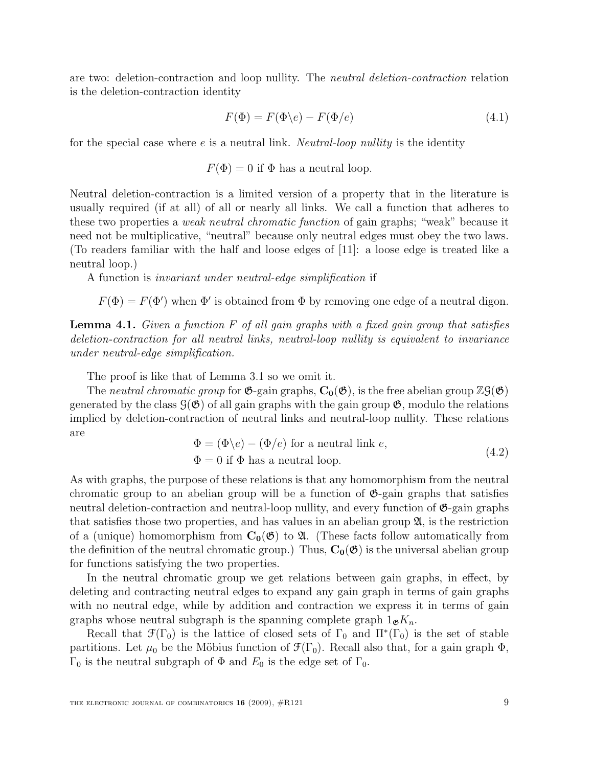are two: deletion-contraction and loop nullity. The neutral deletion-contraction relation is the deletion-contraction identity

$$
F(\Phi) = F(\Phi \backslash e) - F(\Phi / e) \tag{4.1}
$$

for the special case where  $e$  is a neutral link. *Neutral-loop nullity* is the identity

 $F(\Phi) = 0$  if  $\Phi$  has a neutral loop.

Neutral deletion-contraction is a limited version of a property that in the literature is usually required (if at all) of all or nearly all links. We call a function that adheres to these two properties a weak neutral chromatic function of gain graphs; "weak" because it need not be multiplicative, "neutral" because only neutral edges must obey the two laws. (To readers familiar with the half and loose edges of [11]: a loose edge is treated like a neutral loop.)

A function is invariant under neutral-edge simplification if

 $F(\Phi) = F(\Phi')$  when  $\Phi'$  is obtained from  $\Phi$  by removing one edge of a neutral digon.

**Lemma 4.1.** Given a function  $F$  of all gain graphs with a fixed gain group that satisfies deletion-contraction for all neutral links, neutral-loop nullity is equivalent to invariance under neutral-edge simplification.

The proof is like that of Lemma 3.1 so we omit it.

The neutral chromatic group for  $\mathfrak{G}\text{-}\mathrm{gain}$  graphs,  $C_0(\mathfrak{G})$ , is the free abelian group  $\mathbb{Z}\mathfrak{G}(\mathfrak{G})$ generated by the class  $\mathcal{G}(\mathfrak{G})$  of all gain graphs with the gain group  $\mathfrak{G}$ , modulo the relations implied by deletion-contraction of neutral links and neutral-loop nullity. These relations are

$$
\Phi = (\Phi \backslash e) - (\Phi / e) \text{ for a neutral link } e,
$$
  
\n
$$
\Phi = 0 \text{ if } \Phi \text{ has a neutral loop.}
$$
\n(4.2)

As with graphs, the purpose of these relations is that any homomorphism from the neutral chromatic group to an abelian group will be a function of  $\mathfrak{G}$ -gain graphs that satisfies neutral deletion-contraction and neutral-loop nullity, and every function of  $\mathfrak{G}$ -gain graphs that satisfies those two properties, and has values in an abelian group  $\mathfrak{A}$ , is the restriction of a (unique) homomorphism from  $C_0(\mathfrak{G})$  to  $\mathfrak{A}$ . (These facts follow automatically from the definition of the neutral chromatic group.) Thus,  $C_0(\mathfrak{G})$  is the universal abelian group for functions satisfying the two properties.

In the neutral chromatic group we get relations between gain graphs, in effect, by deleting and contracting neutral edges to expand any gain graph in terms of gain graphs with no neutral edge, while by addition and contraction we express it in terms of gain graphs whose neutral subgraph is the spanning complete graph  $1_{\mathcal{B}}K_n$ .

Recall that  $\mathfrak{F}(\Gamma_0)$  is the lattice of closed sets of  $\Gamma_0$  and  $\Pi^*(\Gamma_0)$  is the set of stable partitions. Let  $\mu_0$  be the Möbius function of  $\mathcal{F}(\Gamma_0)$ . Recall also that, for a gain graph  $\Phi$ ,  $Γ_0$  is the neutral subgraph of Φ and  $E_0$  is the edge set of  $Γ_0$ .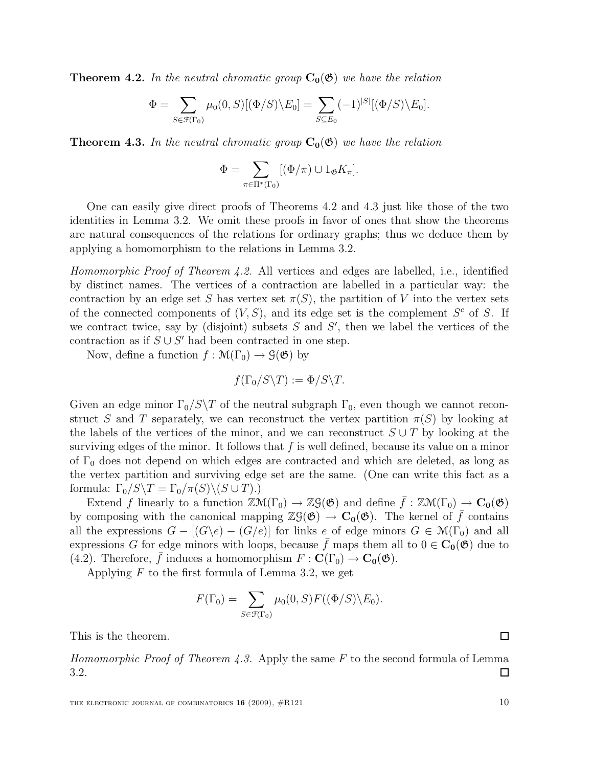**Theorem 4.2.** In the neutral chromatic group  $C_0(\mathfrak{G})$  we have the relation

$$
\Phi = \sum_{S \in \mathcal{F}(\Gamma_0)} \mu_0(0, S) [(\Phi/S) \backslash E_0] = \sum_{S \subseteq E_0} (-1)^{|S|} [(\Phi/S) \backslash E_0].
$$

**Theorem 4.3.** In the neutral chromatic group  $C_0(\mathfrak{G})$  we have the relation

$$
\Phi = \sum_{\pi \in \Pi^*(\Gamma_0)} [(\Phi/\pi) \cup 1_{\mathfrak{G}} K_{\pi}].
$$

One can easily give direct proofs of Theorems 4.2 and 4.3 just like those of the two identities in Lemma 3.2. We omit these proofs in favor of ones that show the theorems are natural consequences of the relations for ordinary graphs; thus we deduce them by applying a homomorphism to the relations in Lemma 3.2.

Homomorphic Proof of Theorem 4.2. All vertices and edges are labelled, i.e., identified by distinct names. The vertices of a contraction are labelled in a particular way: the contraction by an edge set S has vertex set  $\pi(S)$ , the partition of V into the vertex sets of the connected components of  $(V, S)$ , and its edge set is the complement  $S<sup>c</sup>$  of S. If we contract twice, say by (disjoint) subsets  $S$  and  $S'$ , then we label the vertices of the contraction as if  $S \cup S'$  had been contracted in one step.

Now, define a function  $f : \mathcal{M}(\Gamma_0) \to \mathcal{G}(\mathfrak{G})$  by

$$
f(\Gamma_0/S\backslash T):=\Phi/S\backslash T.
$$

Given an edge minor  $\Gamma_0/S\$ T of the neutral subgraph  $\Gamma_0$ , even though we cannot reconstruct S and T separately, we can reconstruct the vertex partition  $\pi(S)$  by looking at the labels of the vertices of the minor, and we can reconstruct  $S \cup T$  by looking at the surviving edges of the minor. It follows that  $f$  is well defined, because its value on a minor of  $\Gamma_0$  does not depend on which edges are contracted and which are deleted, as long as the vertex partition and surviving edge set are the same. (One can write this fact as a formula:  $\Gamma_0/S\backslash T = \Gamma_0/\pi(S)\backslash (S\cup T).$ 

Extend f linearly to a function  $\mathbb{Z}M(\Gamma_0) \to \mathbb{Z}G(\mathfrak{G})$  and define  $\bar{f} : \mathbb{Z}M(\Gamma_0) \to \mathbb{C}_0(\mathfrak{G})$ by composing with the canonical mapping  $\mathbb{Z}(\mathfrak{G}) \to \mathbb{C}_{0}(\mathfrak{G})$ . The kernel of  $\bar{f}$  contains all the expressions  $G - [(G \backslash e) - (G/e)]$  for links e of edge minors  $G \in \mathcal{M}(\Gamma_0)$  and all expressions G for edge minors with loops, because  $\bar{f}$  maps them all to  $0 \in C_0(\mathfrak{G})$  due to (4.2). Therefore,  $\bar{f}$  induces a homomorphism  $F : C(\Gamma_0) \to C_0(\mathfrak{G})$ .

Applying  $F$  to the first formula of Lemma 3.2, we get

$$
F(\Gamma_0) = \sum_{S \in \mathcal{F}(\Gamma_0)} \mu_0(0, S) F((\Phi/S) \backslash E_0).
$$

This is the theorem.

Homomorphic Proof of Theorem 4.3. Apply the same F to the second formula of Lemma 3.2. ◻

 $\Box$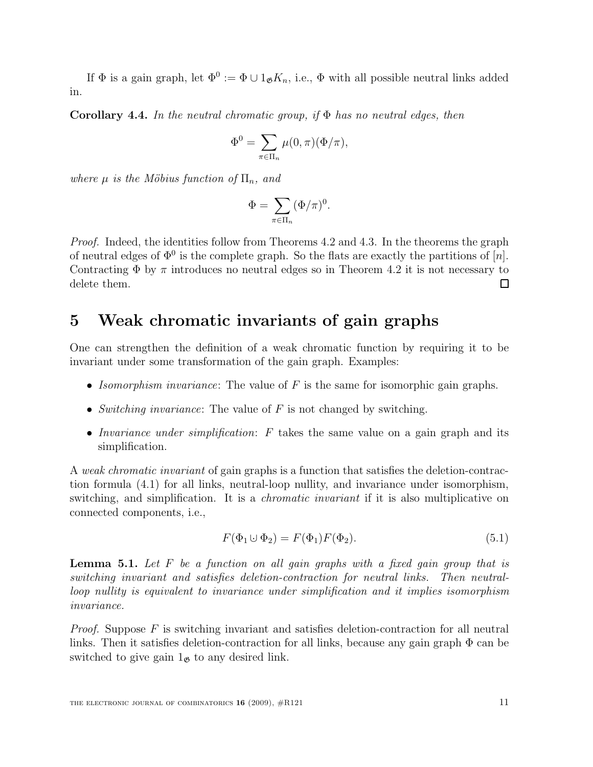If  $\Phi$  is a gain graph, let  $\Phi^0 := \Phi \cup 1_{\mathfrak{G}} K_n$ , i.e.,  $\Phi$  with all possible neutral links added in.

**Corollary 4.4.** In the neutral chromatic group, if  $\Phi$  has no neutral edges, then

$$
\Phi^0 = \sum_{\pi \in \Pi_n} \mu(0, \pi) (\Phi/\pi),
$$

where  $\mu$  is the Möbius function of  $\Pi_n$ , and

$$
\Phi=\sum_{\pi\in\Pi_n}(\Phi/\pi)^0.
$$

Proof. Indeed, the identities follow from Theorems 4.2 and 4.3. In the theorems the graph of neutral edges of  $\Phi^0$  is the complete graph. So the flats are exactly the partitions of  $[n]$ . Contracting  $\Phi$  by  $\pi$  introduces no neutral edges so in Theorem 4.2 it is not necessary to delete them.  $\Box$ 

### 5 Weak chromatic invariants of gain graphs

One can strengthen the definition of a weak chromatic function by requiring it to be invariant under some transformation of the gain graph. Examples:

- Isomorphism invariance: The value of  $F$  is the same for isomorphic gain graphs.
- Switching invariance: The value of  $F$  is not changed by switching.
- Invariance under simplification:  $F$  takes the same value on a gain graph and its simplification.

A weak chromatic invariant of gain graphs is a function that satisfies the deletion-contraction formula (4.1) for all links, neutral-loop nullity, and invariance under isomorphism, switching, and simplification. It is a *chromatic invariant* if it is also multiplicative on connected components, i.e.,

$$
F(\Phi_1 \cup \Phi_2) = F(\Phi_1)F(\Phi_2). \tag{5.1}
$$

**Lemma 5.1.** Let  $F$  be a function on all gain graphs with a fixed gain group that is switching invariant and satisfies deletion-contraction for neutral links. Then neutralloop nullity is equivalent to invariance under simplification and it implies isomorphism invariance.

*Proof.* Suppose  $F$  is switching invariant and satisfies deletion-contraction for all neutral links. Then it satisfies deletion-contraction for all links, because any gain graph  $\Phi$  can be switched to give gain  $1_{\mathfrak{G}}$  to any desired link.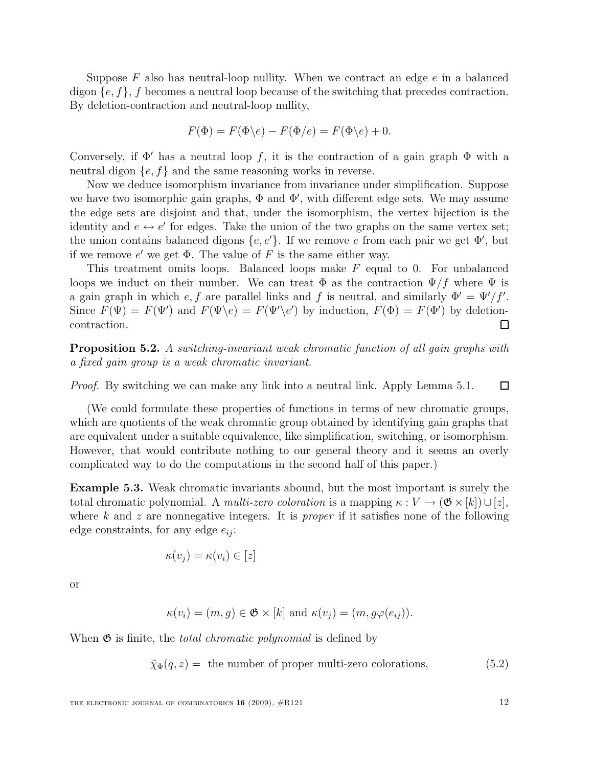Suppose  $F$  also has neutral-loop nullity. When we contract an edge  $e$  in a balanced digon  $\{e, f\}$ , f becomes a neutral loop because of the switching that precedes contraction. By deletion-contraction and neutral-loop nullity,

$$
F(\Phi) = F(\Phi \backslash e) - F(\Phi \backslash e) = F(\Phi \backslash e) + 0.
$$

Conversely, if  $\Phi'$  has a neutral loop f, it is the contraction of a gain graph  $\Phi$  with a neutral digon  $\{e, f\}$  and the same reasoning works in reverse.

Now we deduce isomorphism invariance from invariance under simplification. Suppose we have two isomorphic gain graphs,  $\Phi$  and  $\Phi'$ , with different edge sets. We may assume the edge sets are disjoint and that, under the isomorphism, the vertex bijection is the identity and  $e \leftrightarrow e'$  for edges. Take the union of the two graphs on the same vertex set; the union contains balanced digons  $\{e, e'\}$ . If we remove e from each pair we get  $\Phi'$ , but if we remove  $e'$  we get  $\Phi$ . The value of F is the same either way.

This treatment omits loops. Balanced loops make  $F$  equal to 0. For unbalanced loops we induct on their number. We can treat  $\Phi$  as the contraction  $\Psi/f$  where  $\Psi$  is a gain graph in which  $e, f$  are parallel links and f is neutral, and similarly  $\Phi' = \Psi'/f'$ . Since  $F(\Psi) = F(\Psi')$  and  $F(\Psi \backslash e) = F(\Psi' \backslash e')$  by induction,  $F(\Phi) = F(\Phi')$  by deletioncontraction. □

**Proposition 5.2.** A switching-invariant weak chromatic function of all gain graphs with a fixed gain group is a weak chromatic invariant.

Proof. By switching we can make any link into a neutral link. Apply Lemma 5.1.  $\Box$ 

(We could formulate these properties of functions in terms of new chromatic groups, which are quotients of the weak chromatic group obtained by identifying gain graphs that are equivalent under a suitable equivalence, like simplification, switching, or isomorphism. However, that would contribute nothing to our general theory and it seems an overly complicated way to do the computations in the second half of this paper.)

Example 5.3. Weak chromatic invariants abound, but the most important is surely the total chromatic polynomial. A multi-zero coloration is a mapping  $\kappa : V \to (\mathfrak{G} \times [k]) \cup [z],$ where  $k$  and  $z$  are nonnegative integers. It is *proper* if it satisfies none of the following edge constraints, for any edge  $e_{ii}$ :

$$
\kappa(v_j) = \kappa(v_i) \in [z]
$$

or

$$
\kappa(v_i) = (m, g) \in \mathfrak{G} \times [k] \text{ and } \kappa(v_j) = (m, g\varphi(e_{ij})).
$$

When  $\mathfrak{G}$  is finite, the *total chromatic polynomial* is defined by

$$
\tilde{\chi}_{\Phi}(q, z) = \text{ the number of proper multi-zero colorations}, \tag{5.2}
$$

THE ELECTRONIC JOURNAL OF COMBINATORICS  $16$  (2009),  $\#R121$  12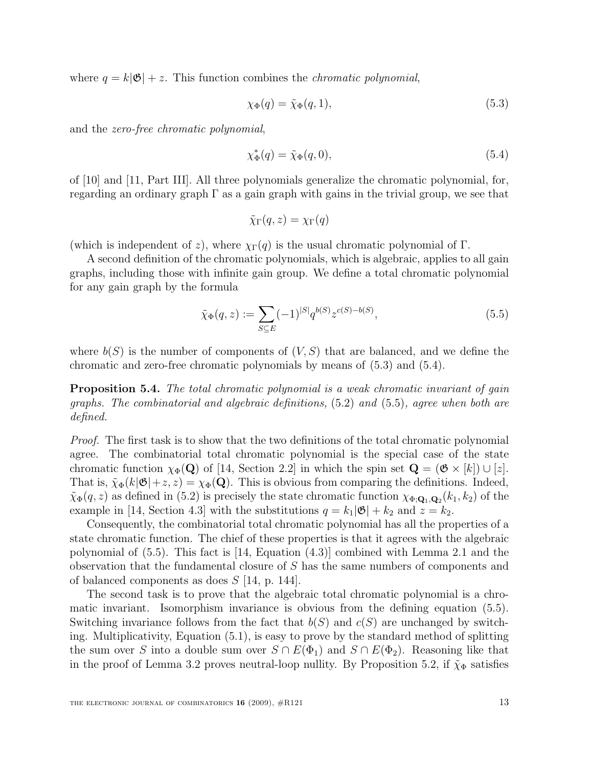where  $q = k|\mathfrak{G}| + z$ . This function combines the *chromatic polynomial*,

$$
\chi_{\Phi}(q) = \tilde{\chi}_{\Phi}(q, 1),\tag{5.3}
$$

and the zero-free chromatic polynomial,

$$
\chi_{\Phi}^*(q) = \tilde{\chi}_{\Phi}(q,0),\tag{5.4}
$$

of [10] and [11, Part III]. All three polynomials generalize the chromatic polynomial, for, regarding an ordinary graph  $\Gamma$  as a gain graph with gains in the trivial group, we see that

$$
\tilde{\chi}_{\Gamma}(q,z) = \chi_{\Gamma}(q)
$$

(which is independent of z), where  $\chi_{\Gamma}(q)$  is the usual chromatic polynomial of  $\Gamma$ .

A second definition of the chromatic polynomials, which is algebraic, applies to all gain graphs, including those with infinite gain group. We define a total chromatic polynomial for any gain graph by the formula

$$
\tilde{\chi}_{\Phi}(q, z) := \sum_{S \subseteq E} (-1)^{|S|} q^{b(S)} z^{c(S) - b(S)}, \qquad (5.5)
$$

where  $b(S)$  is the number of components of  $(V, S)$  that are balanced, and we define the chromatic and zero-free chromatic polynomials by means of (5.3) and (5.4).

Proposition 5.4. The total chromatic polynomial is a weak chromatic invariant of gain graphs. The combinatorial and algebraic definitions, (5.2) and (5.5), agree when both are defined.

Proof. The first task is to show that the two definitions of the total chromatic polynomial agree. The combinatorial total chromatic polynomial is the special case of the state chromatic function  $\chi_{\Phi}(\mathbf{Q})$  of [14, Section 2.2] in which the spin set  $\mathbf{Q} = (\mathfrak{G} \times [k]) \cup [z]$ . That is,  $\tilde{\chi}_{\Phi}(k|\mathfrak{G}|+z, z) = \chi_{\Phi}(\mathbf{Q})$ . This is obvious from comparing the definitions. Indeed,  $\tilde{\chi}_{\Phi}(q, z)$  as defined in (5.2) is precisely the state chromatic function  $\chi_{\Phi, \mathbf{Q}_1, \mathbf{Q}_2}(k_1, k_2)$  of the example in [14, Section 4.3] with the substitutions  $q = k_1|\mathfrak{G}| + k_2$  and  $z = k_2$ .

Consequently, the combinatorial total chromatic polynomial has all the properties of a state chromatic function. The chief of these properties is that it agrees with the algebraic polynomial of (5.5). This fact is [14, Equation (4.3)] combined with Lemma 2.1 and the observation that the fundamental closure of S has the same numbers of components and of balanced components as does S [14, p. 144].

The second task is to prove that the algebraic total chromatic polynomial is a chromatic invariant. Isomorphism invariance is obvious from the defining equation (5.5). Switching invariance follows from the fact that  $b(S)$  and  $c(S)$  are unchanged by switching. Multiplicativity, Equation (5.1), is easy to prove by the standard method of splitting the sum over S into a double sum over  $S \cap E(\Phi_1)$  and  $S \cap E(\Phi_2)$ . Reasoning like that in the proof of Lemma 3.2 proves neutral-loop nullity. By Proposition 5.2, if  $\tilde{\chi}_{\Phi}$  satisfies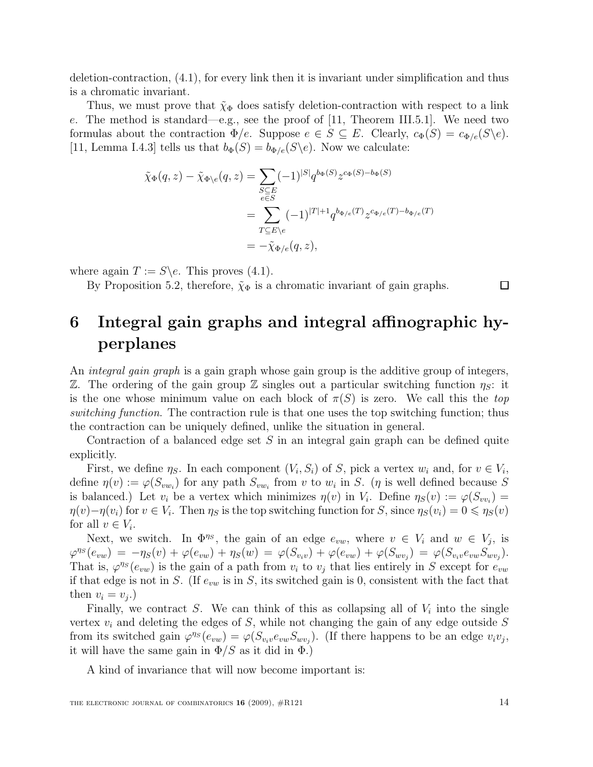deletion-contraction, (4.1), for every link then it is invariant under simplification and thus is a chromatic invariant.

Thus, we must prove that  $\tilde{\chi}_{\Phi}$  does satisfy deletion-contraction with respect to a link e. The method is standard—e.g., see the proof of  $[11,$  Theorem III.5.1. We need two formulas about the contraction  $\Phi/e$ . Suppose  $e \in S \subseteq E$ . Clearly,  $c_{\Phi}(S) = c_{\Phi/e}(S \backslash e)$ . [11, Lemma I.4.3] tells us that  $b_{\Phi}(S) = b_{\Phi/e}(S \backslash e)$ . Now we calculate:

$$
\tilde{\chi}_{\Phi}(q, z) - \tilde{\chi}_{\Phi \backslash e}(q, z) = \sum_{\substack{S \subseteq E \\ e \in S}} (-1)^{|S|} q^{b_{\Phi}(S)} z^{c_{\Phi}(S) - b_{\Phi}(S)}
$$
\n
$$
= \sum_{T \subseteq E \backslash e} (-1)^{|T| + 1} q^{b_{\Phi/e}(T)} z^{c_{\Phi/e}(T) - b_{\Phi/e}(T)}
$$
\n
$$
= -\tilde{\chi}_{\Phi/e}(q, z),
$$

where again  $T := S \e$ . This proves (4.1).

By Proposition 5.2, therefore,  $\tilde{\chi}_{\Phi}$  is a chromatic invariant of gain graphs.

 $\Box$ 

### 6 Integral gain graphs and integral affinographic hyperplanes

An *integral gain graph* is a gain graph whose gain group is the additive group of integers, Z. The ordering of the gain group Z singles out a particular switching function  $\eta_s$ : it is the one whose minimum value on each block of  $\pi(S)$  is zero. We call this the top switching function. The contraction rule is that one uses the top switching function; thus the contraction can be uniquely defined, unlike the situation in general.

Contraction of a balanced edge set  $S$  in an integral gain graph can be defined quite explicitly.

First, we define  $\eta_S$ . In each component  $(V_i, S_i)$  of S, pick a vertex  $w_i$  and, for  $v \in V_i$ , define  $\eta(v) := \varphi(S_{vw_i})$  for any path  $S_{vw_i}$  from v to  $w_i$  in S. ( $\eta$  is well defined because S is balanced.) Let  $v_i$  be a vertex which minimizes  $\eta(v)$  in  $V_i$ . Define  $\eta_S(v) := \varphi(S_{vv_i}) =$  $\eta(v) - \eta(v_i)$  for  $v \in V_i$ . Then  $\eta_S$  is the top switching function for S, since  $\eta_S(v_i) = 0 \leq \eta_S(v)$ for all  $v \in V_i$ .

Next, we switch. In  $\Phi^{\eta_s}$ , the gain of an edge  $e_{vw}$ , where  $v \in V_i$  and  $w \in V_j$ , is  $\varphi^{\eta_S}(e_{vw}) = -\eta_S(v) + \varphi(e_{vw}) + \eta_S(w) = \varphi(S_{v_iv}) + \varphi(e_{vw}) + \varphi(S_{wv_j}) = \varphi(S_{v_iv}e_{vw}S_{wv_j}).$ That is,  $\varphi^{ns}(e_{vw})$  is the gain of a path from  $v_i$  to  $v_j$  that lies entirely in S except for  $e_{vw}$ if that edge is not in S. (If  $e_{vw}$  is in S, its switched gain is 0, consistent with the fact that then  $v_i = v_j.$ )

Finally, we contract S. We can think of this as collapsing all of  $V_i$  into the single vertex  $v_i$  and deleting the edges of S, while not changing the gain of any edge outside S from its switched gain  $\varphi^{ns}(e_{vw}) = \varphi(S_{v_i v}e_{vw}S_{w v_j})$ . (If there happens to be an edge  $v_i v_j$ , it will have the same gain in  $\Phi/S$  as it did in  $\Phi$ .)

A kind of invariance that will now become important is: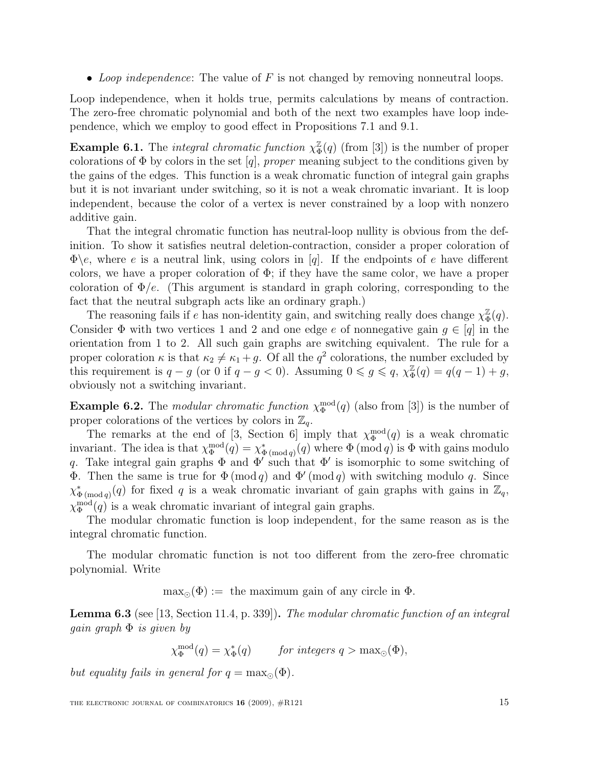• Loop independence: The value of  $F$  is not changed by removing nonneutral loops.

Loop independence, when it holds true, permits calculations by means of contraction. The zero-free chromatic polynomial and both of the next two examples have loop independence, which we employ to good effect in Propositions 7.1 and 9.1.

**Example 6.1.** The *integral chromatic function*  $\chi^{\mathbb{Z}}_{\Phi}(q)$  (from [3]) is the number of proper colorations of  $\Phi$  by colors in the set [q], proper meaning subject to the conditions given by the gains of the edges. This function is a weak chromatic function of integral gain graphs but it is not invariant under switching, so it is not a weak chromatic invariant. It is loop independent, because the color of a vertex is never constrained by a loop with nonzero additive gain.

That the integral chromatic function has neutral-loop nullity is obvious from the definition. To show it satisfies neutral deletion-contraction, consider a proper coloration of  $\Phi$ \e, where e is a neutral link, using colors in [q]. If the endpoints of e have different colors, we have a proper coloration of  $\Phi$ ; if they have the same color, we have a proper coloration of  $\Phi/e$ . (This argument is standard in graph coloring, corresponding to the fact that the neutral subgraph acts like an ordinary graph.)

The reasoning fails if e has non-identity gain, and switching really does change  $\chi^2_{\Phi}$  $\frac{\mathbb{Z}}{\Phi}(q).$ Consider  $\Phi$  with two vertices 1 and 2 and one edge e of nonnegative gain  $g \in [q]$  in the orientation from 1 to 2. All such gain graphs are switching equivalent. The rule for a proper coloration  $\kappa$  is that  $\kappa_2 \neq \kappa_1 + g$ . Of all the  $q^2$  colorations, the number excluded by this requirement is  $q - g$  (or 0 if  $q - g < 0$ ). Assuming  $0 \leq g \leq q$ ,  $\chi^{\mathbb{Z}}_{\Phi}(q) = q(q - 1) + g$ , obviously not a switching invariant.

**Example 6.2.** The modular chromatic function  $\chi_{\Phi}^{\text{mod}}(q)$  (also from [3]) is the number of proper colorations of the vertices by colors in  $\mathbb{Z}_q$ .

The remarks at the end of [3, Section 6] imply that  $\chi_{\Phi}^{\text{mod}}(q)$  is a weak chromatic invariant. The idea is that  $\chi_{\Phi}^{\text{mod}}(q) = \chi_{\Phi(\text{mod }q)}^*(q)$  where  $\Phi(\text{mod }q)$  is  $\Phi$  with gains modulo q. Take integral gain graphs  $\Phi$  and  $\Phi'$  such that  $\Phi'$  is isomorphic to some switching of **Φ**. Then the same is true for  $\Phi \pmod{q}$  and  $\Phi' \pmod{q}$  with switching modulo q. Since  $\chi_{\Phi\,(\text{mod }q)}^*(q)$  for fixed q is a weak chromatic invariant of gain graphs with gains in  $\mathbb{Z}_q$ ,  $\chi_{\Phi}^{\text{mod}}(q)$  is a weak chromatic invariant of integral gain graphs.

The modular chromatic function is loop independent, for the same reason as is the integral chromatic function.

The modular chromatic function is not too different from the zero-free chromatic polynomial. Write

 $\max_{\Omega}(\Phi) :=$  the maximum gain of any circle in  $\Phi$ .

Lemma 6.3 (see [13, Section 11.4, p. 339]). The modular chromatic function of an integral gain graph  $\Phi$  is given by

 $\chi_{\Phi}^{\text{mod}}(q) = \chi_{\Phi}^*(q)$  for integers  $q > \max_{\odot}(\Phi)$ ,

but equality fails in general for  $q = \max_{\odot}(\Phi)$ .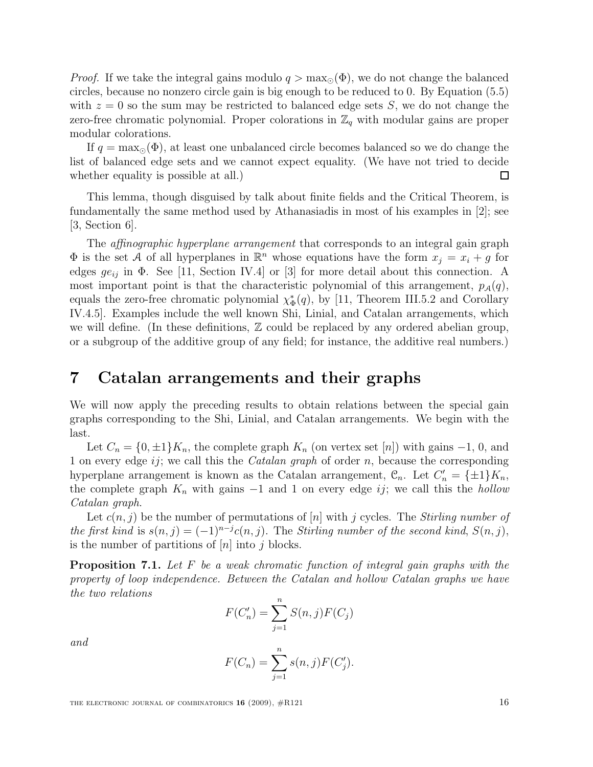*Proof.* If we take the integral gains modulo  $q > \max_{\Omega}(\Phi)$ , we do not change the balanced circles, because no nonzero circle gain is big enough to be reduced to 0. By Equation (5.5) with  $z = 0$  so the sum may be restricted to balanced edge sets S, we do not change the zero-free chromatic polynomial. Proper colorations in  $\mathbb{Z}_q$  with modular gains are proper modular colorations.

If  $q = \max_{\odot}(\Phi)$ , at least one unbalanced circle becomes balanced so we do change the list of balanced edge sets and we cannot expect equality. (We have not tried to decide whether equality is possible at all.)  $\Box$ 

This lemma, though disguised by talk about finite fields and the Critical Theorem, is fundamentally the same method used by Athanasiadis in most of his examples in [2]; see  $|3, \text{Section } 6|$ .

The *affinographic hyperplane arrangement* that corresponds to an integral gain graph  $\Phi$  is the set A of all hyperplanes in  $\mathbb{R}^n$  whose equations have the form  $x_j = x_i + g$  for edges  $ge_{ij}$  in  $\Phi$ . See [11, Section IV.4] or [3] for more detail about this connection. A most important point is that the characteristic polynomial of this arrangement,  $p_{\mathcal{A}}(q)$ , equals the zero-free chromatic polynomial  $\chi_{\Phi}^*(q)$ , by [11, Theorem III.5.2 and Corollary IV.4.5]. Examples include the well known Shi, Linial, and Catalan arrangements, which we will define. (In these definitions,  $\mathbb Z$  could be replaced by any ordered abelian group, or a subgroup of the additive group of any field; for instance, the additive real numbers.)

#### 7 Catalan arrangements and their graphs

We will now apply the preceding results to obtain relations between the special gain graphs corresponding to the Shi, Linial, and Catalan arrangements. We begin with the last.

Let  $C_n = \{0, \pm 1\}K_n$ , the complete graph  $K_n$  (on vertex set [n]) with gains -1, 0, and 1 on every edge  $ij$ ; we call this the *Catalan graph* of order n, because the corresponding hyperplane arrangement is known as the Catalan arrangement,  $\mathcal{C}_n$ . Let  $C'_n = {\pm 1}K_n$ , the complete graph  $K_n$  with gains  $-1$  and 1 on every edge ij; we call this the hollow Catalan graph.

Let  $c(n, j)$  be the number of permutations of [n] with j cycles. The *Stirling number of* the first kind is  $s(n, j) = (-1)^{n-j}c(n, j)$ . The Stirling number of the second kind,  $S(n, j)$ , is the number of partitions of  $[n]$  into j blocks.

**Proposition 7.1.** Let F be a weak chromatic function of integral gain graphs with the property of loop independence. Between the Catalan and hollow Catalan graphs we have the two relations

$$
F(C'_n) = \sum_{j=1}^n S(n,j)F(C_j)
$$

and

$$
F(C_n) = \sum_{j=1}^{n} s(n,j) F(C'_j).
$$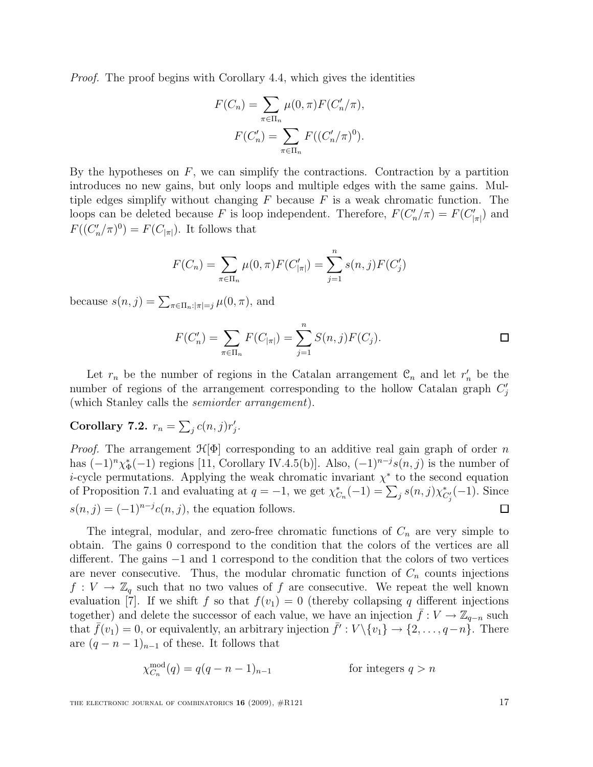Proof. The proof begins with Corollary 4.4, which gives the identities

$$
F(C_n) = \sum_{\pi \in \Pi_n} \mu(0, \pi) F(C'_n/\pi),
$$
  

$$
F(C'_n) = \sum_{\pi \in \Pi_n} F((C'_n/\pi)^0).
$$

By the hypotheses on  $F$ , we can simplify the contractions. Contraction by a partition introduces no new gains, but only loops and multiple edges with the same gains. Multiple edges simplify without changing  $F$  because  $F$  is a weak chromatic function. The loops can be deleted because F is loop independent. Therefore,  $F(C'_n/\pi) = F(C'_{|\pi|})$  and  $F((C'_n/\pi)^0) = F(C_{|\pi|})$ . It follows that

$$
F(C_n) = \sum_{\pi \in \Pi_n} \mu(0, \pi) F(C'_{|\pi|}) = \sum_{j=1}^n s(n, j) F(C'_j)
$$

because  $s(n, j) = \sum_{\pi \in \Pi_n : |\pi|=j} \mu(0, \pi)$ , and

$$
F(C'_n) = \sum_{\pi \in \Pi_n} F(C_{|\pi|}) = \sum_{j=1}^n S(n,j)F(C_j).
$$

Let  $r_n$  be the number of regions in the Catalan arrangement  $\mathcal{C}_n$  and let  $r'_n$  be the number of regions of the arrangement corresponding to the hollow Catalan graph  $C'_j$ (which Stanley calls the semiorder arrangement).

#### Corollary 7.2.  $r_n = \sum_j c(n,j)r'_j$ .

*Proof.* The arrangement  $\mathcal{H}[\Phi]$  corresponding to an additive real gain graph of order n has  $(-1)^n \chi_{\Phi}^*(-1)$  regions [11, Corollary IV.4.5(b)]. Also,  $(-1)^{n-j} s(n,j)$  is the number of *i*-cycle permutations. Applying the weak chromatic invariant  $\chi^*$  to the second equation of Proposition 7.1 and evaluating at  $q = -1$ , we get  $\chi^*_{C_n}(-1) = \sum_j s(n,j) \chi^*_{C'_j}(-1)$ . Since  $s(n, j) = (-1)^{n-j} c(n, j)$ , the equation follows.  $\Box$ 

The integral, modular, and zero-free chromatic functions of  $C_n$  are very simple to obtain. The gains 0 correspond to the condition that the colors of the vertices are all different. The gains −1 and 1 correspond to the condition that the colors of two vertices are never consecutive. Thus, the modular chromatic function of  $C_n$  counts injections  $f: V \to \mathbb{Z}_q$  such that no two values of f are consecutive. We repeat the well known evaluation [7]. If we shift f so that  $f(v_1) = 0$  (thereby collapsing q different injections together) and delete the successor of each value, we have an injection  $\bar{f}: V \to \mathbb{Z}_{q-n}$  such that  $\bar{f}(v_1) = 0$ , or equivalently, an arbitrary injection  $\bar{f}' : V \setminus \{v_1\} \to \{2, \ldots, q-n\}$ . There are  $(q - n - 1)_{n-1}$  of these. It follows that

$$
\chi_{C_n}^{\text{mod}}(q) = q(q - n - 1)_{n-1}
$$
 for integers  $q > n$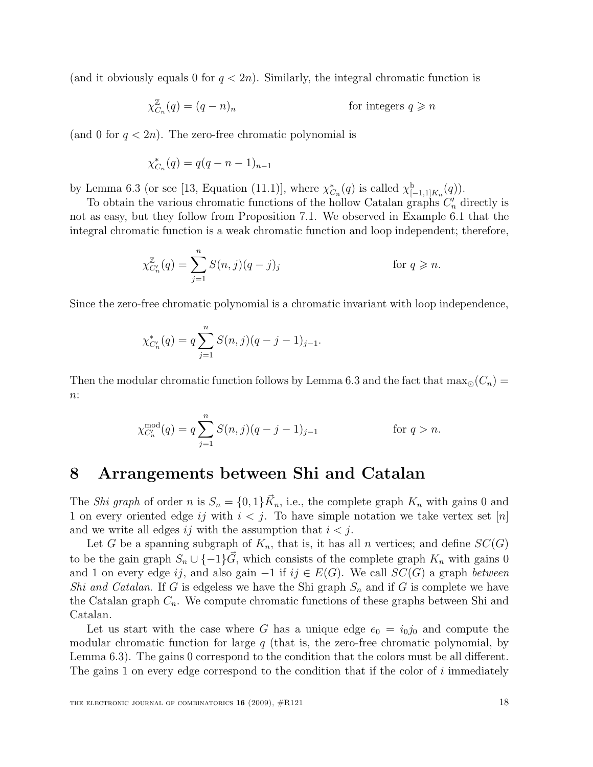(and it obviously equals 0 for  $q < 2n$ ). Similarly, the integral chromatic function is

$$
\chi_{C_n}^{\mathbb{Z}}(q) = (q - n)_n
$$
 for integers  $q \ge n$ 

(and 0 for  $q < 2n$ ). The zero-free chromatic polynomial is

$$
\chi_{C_n}^*(q) = q(q - n - 1)_{n-1}
$$

by Lemma 6.3 (or see [13, Equation (11.1)], where  $\chi^*_{C_n}(q)$  is called  $\chi^{\mathbf{b}}_{[-1,1]K_n}(q)$ ).

To obtain the various chromatic functions of the hollow Catalan graphs  $C'_n$  directly is not as easy, but they follow from Proposition 7.1. We observed in Example 6.1 that the integral chromatic function is a weak chromatic function and loop independent; therefore,

$$
\chi_{C'_n}^{\mathbb{Z}}(q) = \sum_{j=1}^n S(n,j)(q-j)_j \qquad \text{for } q \ge n.
$$

Since the zero-free chromatic polynomial is a chromatic invariant with loop independence,

$$
\chi_{C'_n}^*(q) = q \sum_{j=1}^n S(n,j)(q-j-1)_{j-1}.
$$

Then the modular chromatic function follows by Lemma 6.3 and the fact that  $\max_{\odot}(C_n)$  $n$ :

$$
\chi_{C_n'}^{\text{mod}}(q) = q \sum_{j=1}^n S(n,j)(q-j-1)_{j-1} \qquad \text{for } q > n.
$$

### 8 Arrangements between Shi and Catalan

The *Shi graph* of order n is  $S_n = \{0, 1\} \vec{K}_n$ , i.e., the complete graph  $K_n$  with gains 0 and 1 on every oriented edge ij with  $i < j$ . To have simple notation we take vertex set [n] and we write all edges ij with the assumption that  $i < j$ .

Let G be a spanning subgraph of  $K_n$ , that is, it has all n vertices; and define  $SC(G)$ to be the gain graph  $S_n \cup \{-1\} \vec{G}$ , which consists of the complete graph  $K_n$  with gains 0 and 1 on every edge ij, and also gain  $-1$  if ij  $\in E(G)$ . We call  $SC(G)$  a graph between Shi and Catalan. If G is edgeless we have the Shi graph  $S_n$  and if G is complete we have the Catalan graph  $C_n$ . We compute chromatic functions of these graphs between Shi and Catalan.

Let us start with the case where G has a unique edge  $e_0 = i_0 j_0$  and compute the modular chromatic function for large  $q$  (that is, the zero-free chromatic polynomial, by Lemma 6.3). The gains 0 correspond to the condition that the colors must be all different. The gains 1 on every edge correspond to the condition that if the color of  $i$  immediately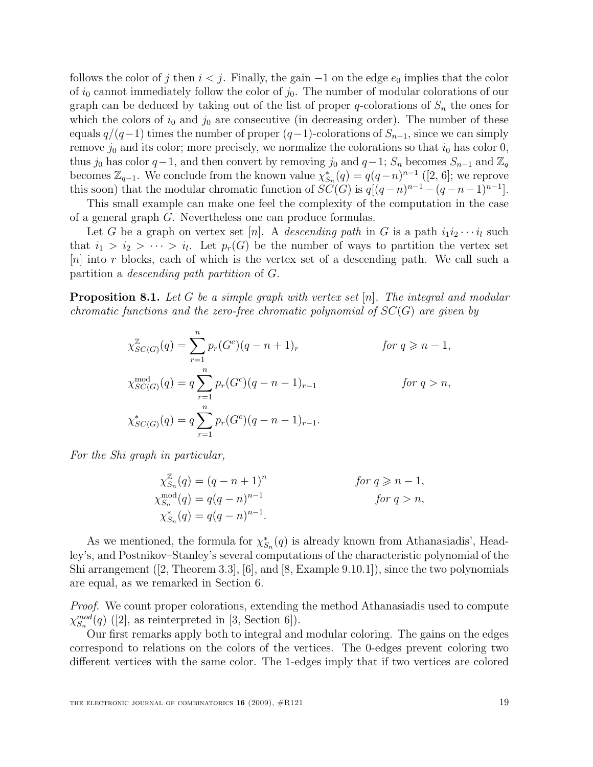follows the color of j then  $i < j$ . Finally, the gain  $-1$  on the edge  $e_0$  implies that the color of  $i_0$  cannot immediately follow the color of  $j_0$ . The number of modular colorations of our graph can be deduced by taking out of the list of proper q-colorations of  $S_n$  the ones for which the colors of  $i_0$  and  $j_0$  are consecutive (in decreasing order). The number of these equals  $q/(q-1)$  times the number of proper  $(q-1)$ -colorations of  $S_{n-1}$ , since we can simply remove  $j_0$  and its color; more precisely, we normalize the colorations so that  $i_0$  has color 0, thus j<sub>0</sub> has color  $q-1$ , and then convert by removing j<sub>0</sub> and  $q-1$ ;  $S_n$  becomes  $S_{n-1}$  and  $\mathbb{Z}_q$ becomes  $\mathbb{Z}_{q-1}$ . We conclude from the known value  $\chi_{S_n}^*(q) = q(q-n)^{n-1}$  ([2, 6]; we reprove this soon) that the modular chromatic function of  $SC(G)$  is  $q[(q-n)^{n-1}-(q-n-1)^{n-1}]$ .

This small example can make one feel the complexity of the computation in the case of a general graph G. Nevertheless one can produce formulas.

Let G be a graph on vertex set [n]. A descending path in G is a path  $i_1i_2\cdots i_l$  such that  $i_1 > i_2 > \cdots > i_l$ . Let  $p_r(G)$  be the number of ways to partition the vertex set  $[n]$  into r blocks, each of which is the vertex set of a descending path. We call such a partition a descending path partition of G.

**Proposition 8.1.** Let G be a simple graph with vertex set  $[n]$ . The integral and modular chromatic functions and the zero-free chromatic polynomial of  $SC(G)$  are given by

$$
\chi_{SC(G)}^{Z}(q) = \sum_{r=1}^{n} p_r(G^c)(q - n + 1)_r \qquad \text{for } q \geq n - 1,
$$
  
\n
$$
\chi_{SC(G)}^{\text{mod}}(q) = q \sum_{r=1}^{n} p_r(G^c)(q - n - 1)_{r-1} \qquad \text{for } q > n,
$$
  
\n
$$
\chi_{SC(G)}^*(q) = q \sum_{r=1}^{n} p_r(G^c)(q - n - 1)_{r-1}.
$$

For the Shi graph in particular,

$$
\chi_{S_n}^{\mathbb{Z}}(q) = (q - n + 1)^n
$$
 *for*  $q \ge n - 1$ ,  
\n
$$
\chi_{S_n}^{\text{mod}}(q) = q(q - n)^{n-1}
$$
 *for*  $q > n$ ,  
\n
$$
\chi_{S_n}^*(q) = q(q - n)^{n-1}.
$$
 *for*  $q > n$ ,

As we mentioned, the formula for  $\chi^*_{S_n}(q)$  is already known from Athanasiadis', Headley's, and Postnikov–Stanley's several computations of the characteristic polynomial of the Shi arrangement  $(2,$  Theorem 3.3,  $[6]$ , and  $[8,$  Example 9.10.1]), since the two polynomials are equal, as we remarked in Section 6.

Proof. We count proper colorations, extending the method Athanasiadis used to compute  $\chi_{S_n}^{mod}(q)$  ([2], as reinterpreted in [3, Section 6]).

Our first remarks apply both to integral and modular coloring. The gains on the edges correspond to relations on the colors of the vertices. The 0-edges prevent coloring two different vertices with the same color. The 1-edges imply that if two vertices are colored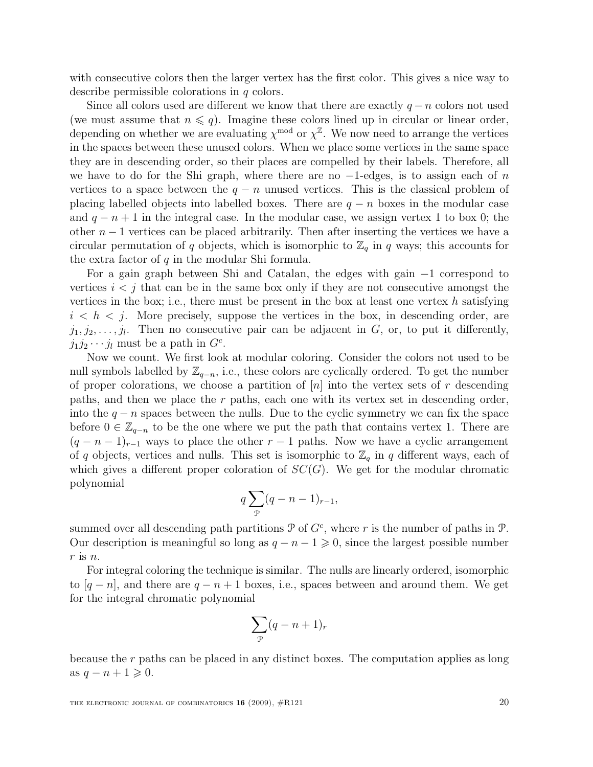with consecutive colors then the larger vertex has the first color. This gives a nice way to describe permissible colorations in q colors.

Since all colors used are different we know that there are exactly  $q - n$  colors not used (we must assume that  $n \leq q$ ). Imagine these colors lined up in circular or linear order, depending on whether we are evaluating  $\chi^{\text{mod}}$  or  $\chi^{\mathbb{Z}}$ . We now need to arrange the vertices in the spaces between these unused colors. When we place some vertices in the same space they are in descending order, so their places are compelled by their labels. Therefore, all we have to do for the Shi graph, where there are no  $-1$ -edges, is to assign each of n vertices to a space between the  $q - n$  unused vertices. This is the classical problem of placing labelled objects into labelled boxes. There are  $q - n$  boxes in the modular case and  $q - n + 1$  in the integral case. In the modular case, we assign vertex 1 to box 0; the other  $n-1$  vertices can be placed arbitrarily. Then after inserting the vertices we have a circular permutation of q objects, which is isomorphic to  $\mathbb{Z}_q$  in q ways; this accounts for the extra factor of  $q$  in the modular Shi formula.

For a gain graph between Shi and Catalan, the edges with gain −1 correspond to vertices  $i < j$  that can be in the same box only if they are not consecutive amongst the vertices in the box; i.e., there must be present in the box at least one vertex h satisfying  $i < h < j$ . More precisely, suppose the vertices in the box, in descending order, are  $j_1, j_2, \ldots, j_l$ . Then no consecutive pair can be adjacent in G, or, to put it differently,  $j_1 j_2 \cdots j_l$  must be a path in  $G^c$ .

Now we count. We first look at modular coloring. Consider the colors not used to be null symbols labelled by  $\mathbb{Z}_{q-n}$ , i.e., these colors are cyclically ordered. To get the number of proper colorations, we choose a partition of  $|n|$  into the vertex sets of r descending paths, and then we place the  $r$  paths, each one with its vertex set in descending order, into the  $q - n$  spaces between the nulls. Due to the cyclic symmetry we can fix the space before  $0 \in \mathbb{Z}_{q-n}$  to be the one where we put the path that contains vertex 1. There are  $(q - n - 1)_{r-1}$  ways to place the other  $r - 1$  paths. Now we have a cyclic arrangement of q objects, vertices and nulls. This set is isomorphic to  $\mathbb{Z}_q$  in q different ways, each of which gives a different proper coloration of  $SC(G)$ . We get for the modular chromatic polynomial

$$
q\sum_{\mathcal{P}}(q-n-1)_{r-1},
$$

summed over all descending path partitions  $P$  of  $G<sup>c</sup>$ , where r is the number of paths in  $P$ . Our description is meaningful so long as  $q - n - 1 \geq 0$ , since the largest possible number  $r$  is  $n$ .

For integral coloring the technique is similar. The nulls are linearly ordered, isomorphic to  $[q - n]$ , and there are  $q - n + 1$  boxes, i.e., spaces between and around them. We get for the integral chromatic polynomial

$$
\sum_{\mathcal{P}} (q - n + 1)_r
$$

because the r paths can be placed in any distinct boxes. The computation applies as long as  $q - n + 1 \geqslant 0$ .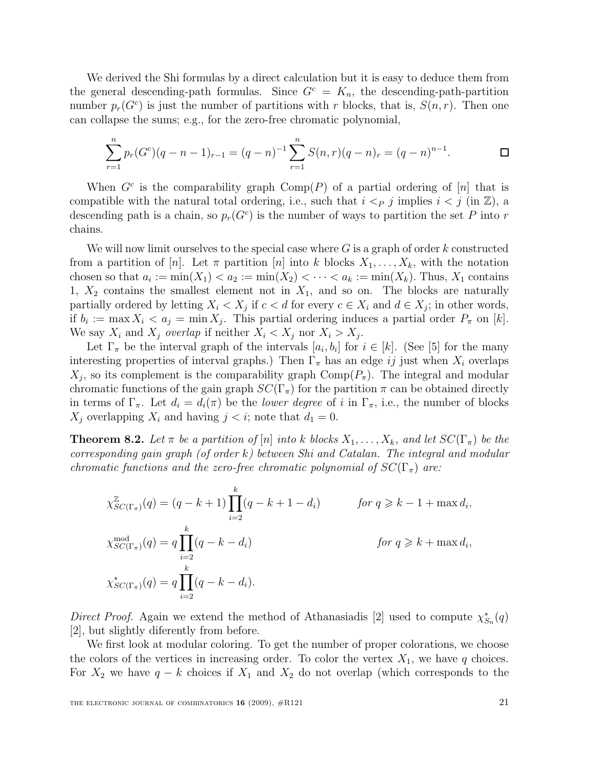We derived the Shi formulas by a direct calculation but it is easy to deduce them from the general descending-path formulas. Since  $G<sup>c</sup> = K<sub>n</sub>$ , the descending-path-partition number  $p_r(G^c)$  is just the number of partitions with r blocks, that is,  $S(n,r)$ . Then one can collapse the sums; e.g., for the zero-free chromatic polynomial,

$$
\sum_{r=1}^{n} p_r(G^c)(q-n-1)_{r-1} = (q-n)^{-1} \sum_{r=1}^{n} S(n,r)(q-n)_r = (q-n)^{n-1}.
$$

When  $G^c$  is the comparability graph  $Comp(P)$  of a partial ordering of [n] that is compatible with the natural total ordering, i.e., such that  $i < p$  j implies  $i < j$  (in  $\mathbb{Z}$ ), a descending path is a chain, so  $p_r(G^c)$  is the number of ways to partition the set P into r chains.

We will now limit ourselves to the special case where  $G$  is a graph of order k constructed from a partition of [n]. Let  $\pi$  partition [n] into k blocks  $X_1, \ldots, X_k$ , with the notation chosen so that  $a_i := \min(X_1) < a_2 := \min(X_2) < \cdots < a_k := \min(X_k)$ . Thus,  $X_1$  contains 1,  $X_2$  contains the smallest element not in  $X_1$ , and so on. The blocks are naturally partially ordered by letting  $X_i \leq X_j$  if  $c < d$  for every  $c \in X_i$  and  $d \in X_j$ ; in other words, if  $b_i := \max X_i < a_j = \min X_j$ . This partial ordering induces a partial order  $P_{\pi}$  on [k]. We say  $X_i$  and  $X_j$  overlap if neither  $X_i < X_j$  nor  $X_i > X_j$ .

Let  $\Gamma_{\pi}$  be the interval graph of the intervals  $[a_i, b_i]$  for  $i \in [k]$ . (See [5] for the many interesting properties of interval graphs.) Then  $\Gamma_{\pi}$  has an edge ij just when  $X_i$  overlaps  $X_j$ , so its complement is the comparability graph  $\text{Comp}(P_\pi)$ . The integral and modular chromatic functions of the gain graph  $SC(\Gamma_{\pi})$  for the partition  $\pi$  can be obtained directly in terms of  $\Gamma_{\pi}$ . Let  $d_i = d_i(\pi)$  be the *lower degree* of i in  $\Gamma_{\pi}$ , i.e., the number of blocks  $X_i$  overlapping  $X_i$  and having  $j < i$ ; note that  $d_1 = 0$ .

**Theorem 8.2.** Let  $\pi$  be a partition of  $[n]$  into k blocks  $X_1, \ldots, X_k$ , and let  $SC(\Gamma_{\pi})$  be the  $corresponding \ gain \ graph \ (of \ order \ k) \ between \ Shi \ and \ Catalan. \ The \ integral \ and \ modular$ chromatic functions and the zero-free chromatic polynomial of  $SC(\Gamma_{\pi})$  are:

$$
\chi_{SC(\Gamma_{\pi})}^{\mathbb{Z}}(q) = (q - k + 1) \prod_{i=2}^{k} (q - k + 1 - d_i) \qquad \text{for } q \geq k - 1 + \max d_i,
$$
  

$$
\chi_{SC(\Gamma_{\pi})}^{\text{mod}}(q) = q \prod_{i=2}^{k} (q - k - d_i) \qquad \text{for } q \geq k + \max d_i,
$$
  

$$
\chi_{SC(\Gamma_{\pi})}^{*}(q) = q \prod_{i=2}^{k} (q - k - d_i).
$$

Direct Proof. Again we extend the method of Athanasiadis [2] used to compute  $\chi^*_{S_n}(q)$ [2], but slightly diferently from before.

We first look at modular coloring. To get the number of proper colorations, we choose the colors of the vertices in increasing order. To color the vertex  $X_1$ , we have q choices. For  $X_2$  we have  $q - k$  choices if  $X_1$  and  $X_2$  do not overlap (which corresponds to the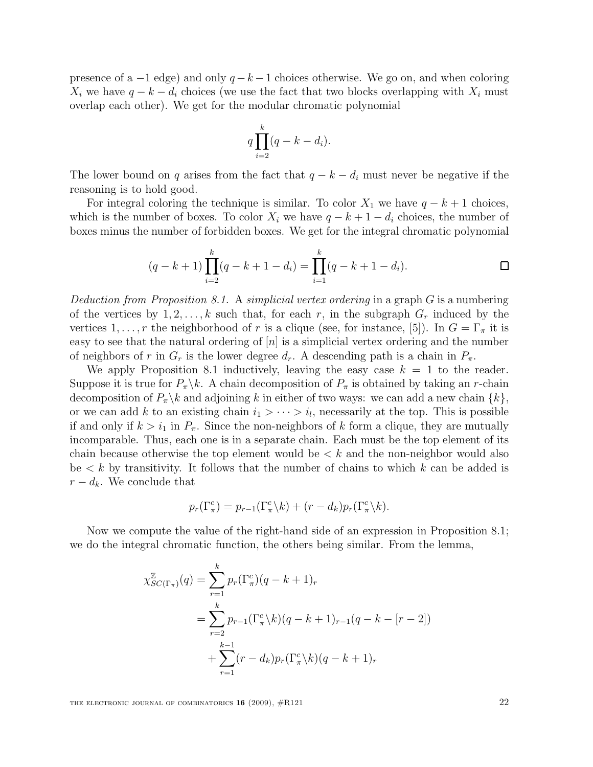presence of a  $-1$  edge) and only  $q - k - 1$  choices otherwise. We go on, and when coloring  $X_i$  we have  $q - k - d_i$  choices (we use the fact that two blocks overlapping with  $X_i$  must overlap each other). We get for the modular chromatic polynomial

$$
q\prod_{i=2}^{k}(q-k-d_i).
$$

The lower bound on q arises from the fact that  $q - k - d_i$  must never be negative if the reasoning is to hold good.

For integral coloring the technique is similar. To color  $X_1$  we have  $q - k + 1$  choices, which is the number of boxes. To color  $X_i$  we have  $q - k + 1 - d_i$  choices, the number of boxes minus the number of forbidden boxes. We get for the integral chromatic polynomial

$$
(q-k+1)\prod_{i=2}^{k} (q-k+1-d_i) = \prod_{i=1}^{k} (q-k+1-d_i).
$$

Deduction from Proposition 8.1. A simplicial vertex ordering in a graph  $G$  is a numbering of the vertices by  $1, 2, \ldots, k$  such that, for each r, in the subgraph  $G_r$  induced by the vertices 1, ..., r the neighborhood of r is a clique (see, for instance, [5]). In  $G = \Gamma_{\pi}$  it is easy to see that the natural ordering of  $[n]$  is a simplicial vertex ordering and the number of neighbors of r in  $G_r$  is the lower degree  $d_r$ . A descending path is a chain in  $P_\pi$ .

We apply Proposition 8.1 inductively, leaving the easy case  $k = 1$  to the reader. Suppose it is true for  $P_{\pi}\backslash k$ . A chain decomposition of  $P_{\pi}$  is obtained by taking an r-chain decomposition of  $P_{\pi} \backslash k$  and adjoining k in either of two ways: we can add a new chain  $\{k\},\$ or we can add k to an existing chain  $i_1 > \cdots > i_l$ , necessarily at the top. This is possible if and only if  $k > i_1$  in  $P_\pi$ . Since the non-neighbors of k form a clique, they are mutually incomparable. Thus, each one is in a separate chain. Each must be the top element of its chain because otherwise the top element would be  $\lt k$  and the non-neighbor would also be  $\lt k$  by transitivity. It follows that the number of chains to which k can be added is  $r - d_k$ . We conclude that

$$
p_r(\Gamma_\pi^c) = p_{r-1}(\Gamma_\pi^c \backslash k) + (r - d_k)p_r(\Gamma_\pi^c \backslash k).
$$

Now we compute the value of the right-hand side of an expression in Proposition 8.1; we do the integral chromatic function, the others being similar. From the lemma,

$$
\chi_{SC(\Gamma_{\pi})}^{\mathbb{Z}}(q) = \sum_{r=1}^{k} p_r(\Gamma_{\pi}^c)(q - k + 1)_r
$$
  
= 
$$
\sum_{r=2}^{k} p_{r-1}(\Gamma_{\pi}^c{k})(q - k + 1)_{r-1}(q - k - [r - 2])
$$
  
+ 
$$
\sum_{r=1}^{k-1} (r - d_k)p_r(\Gamma_{\pi}^c{k})(q - k + 1)_r
$$

THE ELECTRONIC JOURNAL OF COMBINATORICS  $16$  (2009),  $\#R121$  22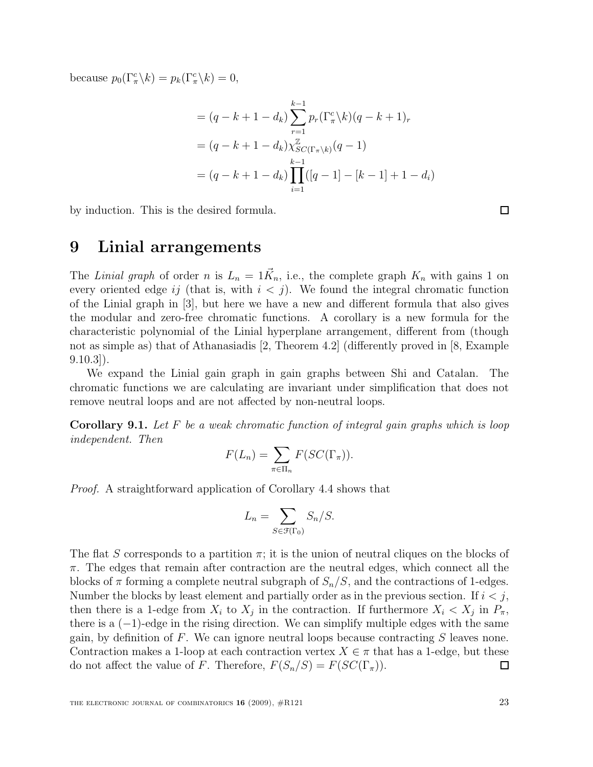because  $p_0(\Gamma_\pi^c \backslash k) = p_k(\Gamma_\pi^c \backslash k) = 0$ ,

$$
= (q - k + 1 - d_k) \sum_{r=1}^{k-1} p_r(\Gamma_\pi^c(k)(q - k + 1)_r
$$
  

$$
= (q - k + 1 - d_k) \chi_{SC(\Gamma_\pi \backslash k)}^{\mathbb{Z}}(q - 1)
$$
  

$$
= (q - k + 1 - d_k) \prod_{i=1}^{k-1} ([q - 1] - [k - 1] + 1 - d_i)
$$

by induction. This is the desired formula.

#### 9 Linial arrangements

The Linial graph of order n is  $L_n = 1\vec{K}_n$ , i.e., the complete graph  $K_n$  with gains 1 on every oriented edge ij (that is, with  $i < j$ ). We found the integral chromatic function of the Linial graph in [3], but here we have a new and different formula that also gives the modular and zero-free chromatic functions. A corollary is a new formula for the characteristic polynomial of the Linial hyperplane arrangement, different from (though not as simple as) that of Athanasiadis [2, Theorem 4.2] (differently proved in [8, Example  $9.10.3$ ).

We expand the Linial gain graph in gain graphs between Shi and Catalan. The chromatic functions we are calculating are invariant under simplification that does not remove neutral loops and are not affected by non-neutral loops.

**Corollary 9.1.** Let  $F$  be a weak chromatic function of integral gain graphs which is loop independent. Then

$$
F(L_n) = \sum_{\pi \in \Pi_n} F(SC(\Gamma_\pi)).
$$

Proof. A straightforward application of Corollary 4.4 shows that

$$
L_n = \sum_{S \in \mathcal{F}(\Gamma_0)} S_n / S.
$$

The flat S corresponds to a partition  $\pi$ ; it is the union of neutral cliques on the blocks of  $\pi$ . The edges that remain after contraction are the neutral edges, which connect all the blocks of  $\pi$  forming a complete neutral subgraph of  $S_n/S$ , and the contractions of 1-edges. Number the blocks by least element and partially order as in the previous section. If  $i < j$ , then there is a 1-edge from  $X_i$  to  $X_j$  in the contraction. If furthermore  $X_i < X_j$  in  $P_\pi$ , there is a  $(-1)$ -edge in the rising direction. We can simplify multiple edges with the same gain, by definition of  $F$ . We can ignore neutral loops because contracting  $S$  leaves none. Contraction makes a 1-loop at each contraction vertex  $X \in \pi$  that has a 1-edge, but these do not affect the value of F. Therefore,  $F(S_n/S) = F(SC(\Gamma_{\pi}))$ .  $\Box$ 

 $\Box$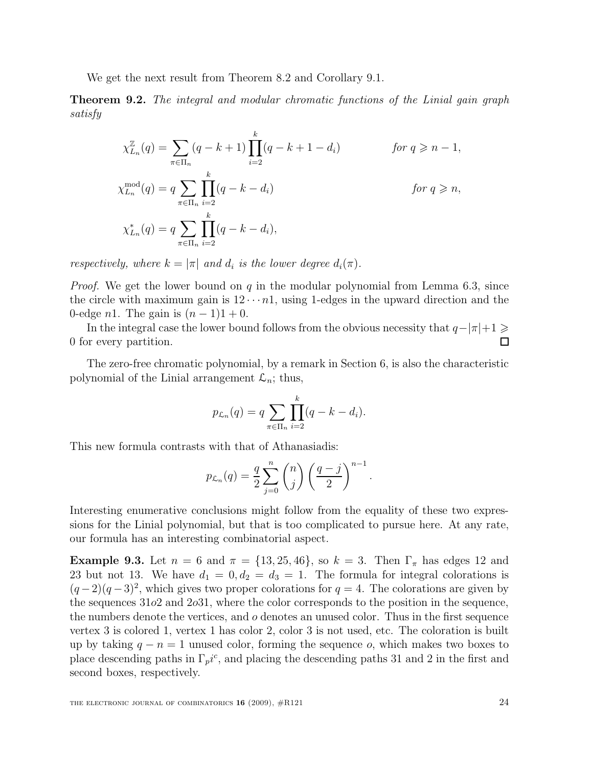We get the next result from Theorem 8.2 and Corollary 9.1.

**Theorem 9.2.** The integral and modular chromatic functions of the Linial gain graph satisfy

$$
\chi_{L_n}^{\mathbb{Z}}(q) = \sum_{\pi \in \Pi_n} (q - k + 1) \prod_{i=2}^k (q - k + 1 - d_i) \qquad \text{for } q \ge n - 1,
$$
  

$$
\chi_{L_n}^{\text{mod}}(q) = q \sum_{\pi \in \Pi_n} \prod_{i=2}^k (q - k - d_i) \qquad \text{for } q \ge n,
$$
  

$$
\chi_{L_n}^*(q) = q \sum_{\pi \in \Pi_n} \prod_{i=2}^k (q - k - d_i),
$$

respectively, where  $k = |\pi|$  and  $d_i$  is the lower degree  $d_i(\pi)$ .

*Proof.* We get the lower bound on q in the modular polynomial from Lemma 6.3, since the circle with maximum gain is  $12 \cdots n1$ , using 1-edges in the upward direction and the 0-edge n1. The gain is  $(n-1)1 + 0$ .

In the integral case the lower bound follows from the obvious necessity that  $q-|\pi|+1 \geq$ □ 0 for every partition.

The zero-free chromatic polynomial, by a remark in Section 6, is also the characteristic polynomial of the Linial arrangement  $\mathcal{L}_n$ ; thus,

$$
p_{\mathcal{L}_n}(q) = q \sum_{\pi \in \Pi_n} \prod_{i=2}^k (q - k - d_i).
$$

This new formula contrasts with that of Athanasiadis:

$$
p_{\mathcal{L}_n}(q) = \frac{q}{2} \sum_{j=0}^n \binom{n}{j} \left(\frac{q-j}{2}\right)^{n-1}
$$

.

Interesting enumerative conclusions might follow from the equality of these two expressions for the Linial polynomial, but that is too complicated to pursue here. At any rate, our formula has an interesting combinatorial aspect.

Example 9.3. Let  $n = 6$  and  $\pi = \{13, 25, 46\}$ , so  $k = 3$ . Then  $\Gamma_{\pi}$  has edges 12 and 23 but not 13. We have  $d_1 = 0, d_2 = d_3 = 1$ . The formula for integral colorations is  $(q-2)(q-3)^2$ , which gives two proper colorations for  $q = 4$ . The colorations are given by the sequences  $31o2$  and  $2o31$ , where the color corresponds to the position in the sequence, the numbers denote the vertices, and o denotes an unused color. Thus in the first sequence vertex 3 is colored 1, vertex 1 has color 2, color 3 is not used, etc. The coloration is built up by taking  $q - n = 1$  unused color, forming the sequence o, which makes two boxes to place descending paths in  $\Gamma_p i^c$ , and placing the descending paths 31 and 2 in the first and second boxes, respectively.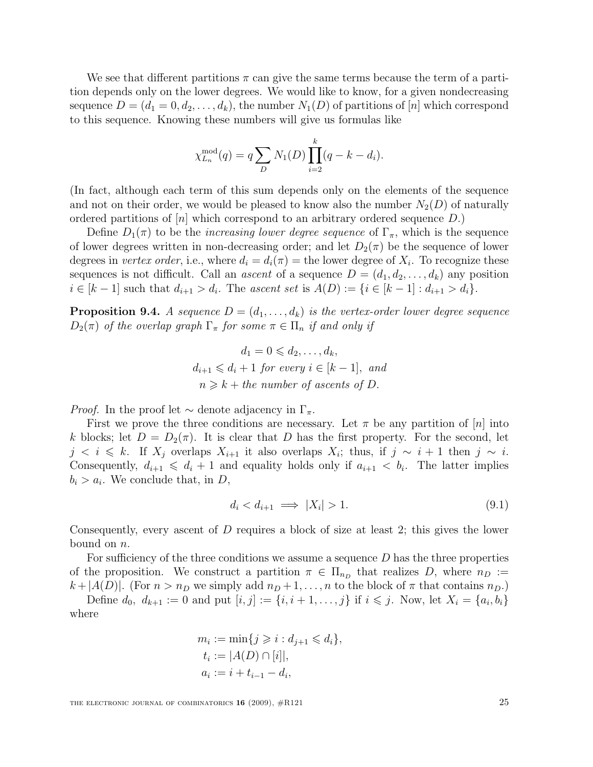We see that different partitions  $\pi$  can give the same terms because the term of a partition depends only on the lower degrees. We would like to know, for a given nondecreasing sequence  $D = (d_1 = 0, d_2, \ldots, d_k)$ , the number  $N_1(D)$  of partitions of [n] which correspond to this sequence. Knowing these numbers will give us formulas like

$$
\chi_{L_n}^{\text{mod}}(q) = q \sum_D N_1(D) \prod_{i=2}^k (q - k - d_i).
$$

(In fact, although each term of this sum depends only on the elements of the sequence and not on their order, we would be pleased to know also the number  $N_2(D)$  of naturally ordered partitions of  $[n]$  which correspond to an arbitrary ordered sequence D.)

Define  $D_1(\pi)$  to be the *increasing lower degree sequence* of  $\Gamma_{\pi}$ , which is the sequence of lower degrees written in non-decreasing order; and let  $D_2(\pi)$  be the sequence of lower degrees in *vertex order*, i.e., where  $d_i = d_i(\pi) =$  the lower degree of  $X_i$ . To recognize these sequences is not difficult. Call an *ascent* of a sequence  $D = (d_1, d_2, \ldots, d_k)$  any position  $i \in [k-1]$  such that  $d_{i+1} > d_i$ . The ascent set is  $A(D) := \{i \in [k-1]: d_{i+1} > d_i\}.$ 

**Proposition 9.4.** A sequence  $D = (d_1, \ldots, d_k)$  is the vertex-order lower degree sequence  $D_2(\pi)$  of the overlap graph  $\Gamma_{\pi}$  for some  $\pi \in \Pi_n$  if and only if

$$
d_1 = 0 \leq d_2, \dots, d_k,
$$
  
\n
$$
d_{i+1} \leq d_i + 1 \text{ for every } i \in [k-1], \text{ and}
$$
  
\n
$$
n \geq k + the number of ascents of D.
$$

*Proof.* In the proof let  $\sim$  denote adjacency in  $\Gamma_{\pi}$ .

First we prove the three conditions are necessary. Let  $\pi$  be any partition of [n] into k blocks; let  $D = D_2(\pi)$ . It is clear that D has the first property. For the second, let  $j \leq i \leq k$ . If  $X_j$  overlaps  $X_{i+1}$  it also overlaps  $X_i$ ; thus, if  $j \sim i+1$  then  $j \sim i$ . Consequently,  $d_{i+1} \leq d_i + 1$  and equality holds only if  $a_{i+1} < b_i$ . The latter implies  $b_i > a_i$ . We conclude that, in D,

$$
d_i < d_{i+1} \implies |X_i| > 1. \tag{9.1}
$$

Consequently, every ascent of D requires a block of size at least 2; this gives the lower bound on n.

For sufficiency of the three conditions we assume a sequence  $D$  has the three properties of the proposition. We construct a partition  $\pi \in \Pi_{n_D}$  that realizes D, where  $n_D :=$  $k + |A(D)|$ . (For  $n > n_D$  we simply add  $n_D + 1, \ldots, n$  to the block of  $\pi$  that contains  $n_D$ .)

Define  $d_0, d_{k+1} := 0$  and put  $[i, j] := \{i, i + 1, \ldots, j\}$  if  $i \leq j$ . Now, let  $X_i = \{a_i, b_i\}$ where

$$
m_i := \min\{j \ge i : d_{j+1} \le d_i\},
$$
  
\n
$$
t_i := |A(D) \cap [i]|,
$$
  
\n
$$
a_i := i + t_{i-1} - d_i,
$$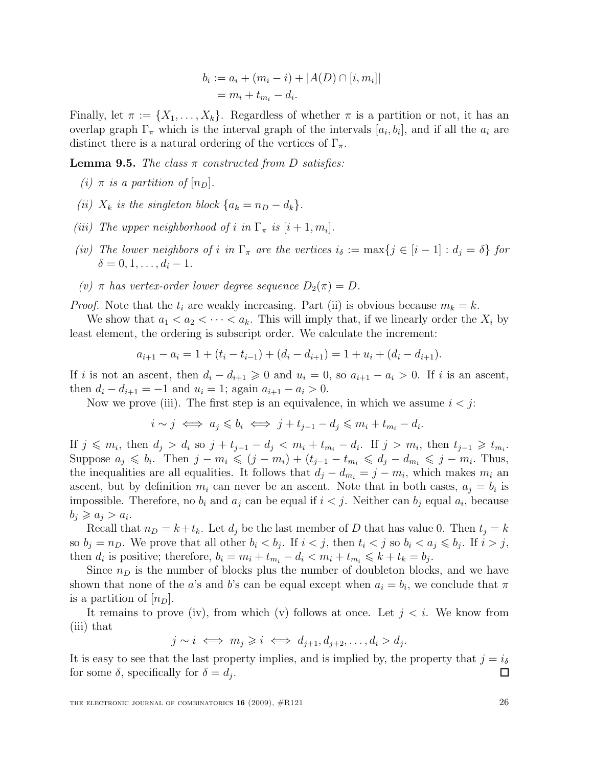$$
b_i := a_i + (m_i - i) + |A(D) \cap [i, m_i]|
$$
  
=  $m_i + t_{m_i} - d_i$ .

Finally, let  $\pi := \{X_1, \ldots, X_k\}$ . Regardless of whether  $\pi$  is a partition or not, it has an overlap graph  $\Gamma_{\pi}$  which is the interval graph of the intervals  $[a_i, b_i]$ , and if all the  $a_i$  are distinct there is a natural ordering of the vertices of  $\Gamma_{\pi}$ .

**Lemma 9.5.** The class  $\pi$  constructed from D satisfies:

- (i)  $\pi$  is a partition of  $[n_D]$ .
- (ii)  $X_k$  is the singleton block  $\{a_k = n_D d_k\}.$
- (iii) The upper neighborhood of i in  $\Gamma_{\pi}$  is  $[i+1, m_i]$ .
- (iv) The lower neighbors of i in  $\Gamma_{\pi}$  are the vertices  $i_{\delta} := \max\{j \in [i-1] : d_j = \delta\}$  for  $\delta = 0, 1, \ldots, d_i - 1.$
- (v)  $\pi$  has vertex-order lower degree sequence  $D_2(\pi) = D$ .

*Proof.* Note that the  $t_i$  are weakly increasing. Part (ii) is obvious because  $m_k = k$ .

We show that  $a_1 < a_2 < \cdots < a_k$ . This will imply that, if we linearly order the  $X_i$  by least element, the ordering is subscript order. We calculate the increment:

$$
a_{i+1} - a_i = 1 + (t_i - t_{i-1}) + (d_i - d_{i+1}) = 1 + u_i + (d_i - d_{i+1}).
$$

If i is not an ascent, then  $d_i - d_{i+1} \geq 0$  and  $u_i = 0$ , so  $a_{i+1} - a_i > 0$ . If i is an ascent, then  $d_i - d_{i+1} = -1$  and  $u_i = 1$ ; again  $a_{i+1} - a_i > 0$ .

Now we prove (iii). The first step is an equivalence, in which we assume  $i < j$ :

$$
i \sim j \iff a_j \leq b_i \iff j + t_{j-1} - d_j \leq m_i + t_{m_i} - d_i.
$$

If  $j \n≤ m_i$ , then  $d_j > d_i$  so  $j + t_{j-1} - d_j < m_i + t_{m_i} - d_i$ . If  $j > m_i$ , then  $t_{j-1} \geq t_{m_i}$ . Suppose  $a_j \leqslant b_i$ . Then  $j - m_i \leqslant (j - m_i) + (t_{j-1} - t_{m_i} \leqslant d_j - d_{m_i} \leqslant j - m_i$ . Thus, the inequalities are all equalities. It follows that  $d_j - d_{m_i} = j - m_i$ , which makes  $m_i$  and ascent, but by definition  $m_i$  can never be an ascent. Note that in both cases,  $a_j = b_i$  is impossible. Therefore, no  $b_i$  and  $a_j$  can be equal if  $i < j$ . Neither can  $b_j$  equal  $a_i$ , because  $b_j \geqslant a_j > a_i.$ 

Recall that  $n_D = k + t_k$ . Let  $d_j$  be the last member of D that has value 0. Then  $t_j = k$ so  $b_j = n_D$ . We prove that all other  $b_i < b_j$ . If  $i < j$ , then  $t_i < j$  so  $b_i < a_j \leqslant b_j$ . If  $i > j$ , then  $d_i$  is positive; therefore,  $b_i = m_i + t_{m_i} - d_i < m_i + t_{m_i} \leq k + t_k = b_j$ .

Since  $n<sub>D</sub>$  is the number of blocks plus the number of doubleton blocks, and we have shown that none of the a's and b's can be equal except when  $a_i = b_i$ , we conclude that  $\pi$ is a partition of  $[n_D]$ .

It remains to prove (iv), from which (v) follows at once. Let  $j < i$ . We know from (iii) that

 $j \sim i \iff m_j \geqslant i \iff d_{j+1}, d_{j+2}, \dots, d_i > d_j.$ 

It is easy to see that the last property implies, and is implied by, the property that  $j = i_{\delta}$ for some  $\delta$ , specifically for  $\delta = d_j$ . □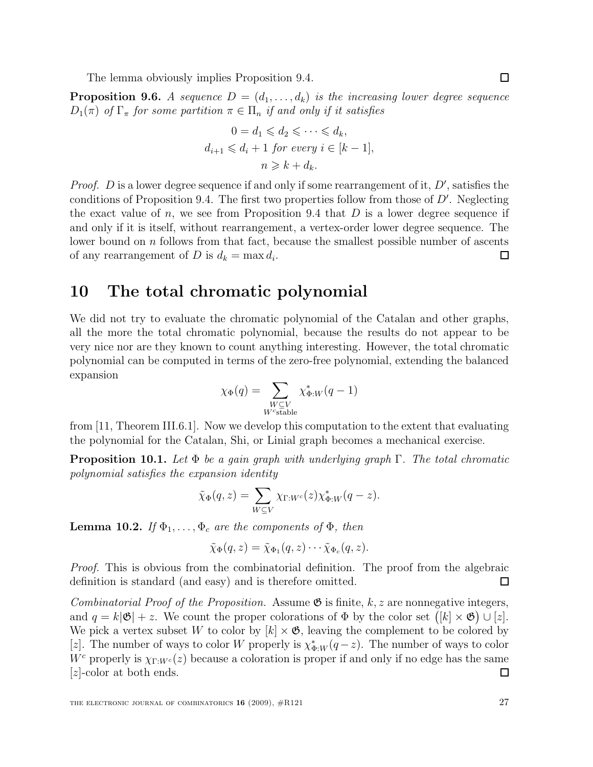The lemma obviously implies Proposition 9.4.

**Proposition 9.6.** A sequence  $D = (d_1, \ldots, d_k)$  is the increasing lower degree sequence  $D_1(\pi)$  of  $\Gamma_{\pi}$  for some partition  $\pi \in \Pi_n$  if and only if it satisfies

$$
0 = d_1 \leq d_2 \leq \cdots \leq d_k,
$$
  

$$
d_{i+1} \leq d_i + 1 \text{ for every } i \in [k-1],
$$
  

$$
n \geq k + d_k.
$$

*Proof.* D is a lower degree sequence if and only if some rearrangement of it,  $D'$ , satisfies the conditions of Proposition 9.4. The first two properties follow from those of  $D'$ . Neglecting the exact value of n, we see from Proposition 9.4 that  $D$  is a lower degree sequence if and only if it is itself, without rearrangement, a vertex-order lower degree sequence. The lower bound on  $n$  follows from that fact, because the smallest possible number of ascents of any rearrangement of D is  $d_k = \max d_i$ . □

### 10 The total chromatic polynomial

We did not try to evaluate the chromatic polynomial of the Catalan and other graphs, all the more the total chromatic polynomial, because the results do not appear to be very nice nor are they known to count anything interesting. However, the total chromatic polynomial can be computed in terms of the zero-free polynomial, extending the balanced expansion

$$
\chi_{\Phi}(q) = \sum_{\substack{W \subseteq V \\ W^c \text{stable}}} \chi_{\Phi:W}^*(q-1)
$$

from [11, Theorem III.6.1]. Now we develop this computation to the extent that evaluating the polynomial for the Catalan, Shi, or Linial graph becomes a mechanical exercise.

**Proposition 10.1.** Let  $\Phi$  be a gain graph with underlying graph  $\Gamma$ . The total chromatic polynomial satisfies the expansion identity

$$
\tilde{\chi}_{\Phi}(q, z) = \sum_{W \subseteq V} \chi_{\Gamma: W^c}(z) \chi_{\Phi: W}^*(q - z).
$$

**Lemma 10.2.** If  $\Phi_1, \ldots, \Phi_c$  are the components of  $\Phi$ , then

$$
\tilde{\chi}_{\Phi}(q, z) = \tilde{\chi}_{\Phi_1}(q, z) \cdots \tilde{\chi}_{\Phi_c}(q, z).
$$

Proof. This is obvious from the combinatorial definition. The proof from the algebraic definition is standard (and easy) and is therefore omitted.  $\Box$ 

Combinatorial Proof of the Proposition. Assume  $\mathfrak{G}$  is finite,  $k, z$  are nonnegative integers, and  $q = k|\mathfrak{G}| + z$ . We count the proper colorations of  $\Phi$  by the color set  $([k] \times \mathfrak{G}) \cup [z]$ . We pick a vertex subset W to color by  $[k] \times \mathfrak{G}$ , leaving the complement to be colored by [z]. The number of ways to color W properly is  $\chi_{\Phi:W}^*(q-z)$ . The number of ways to color W<sup>c</sup> properly is  $\chi_{\Gamma:W^c}(z)$  because a coloration is proper if and only if no edge has the same  $|z|$ -color at both ends. □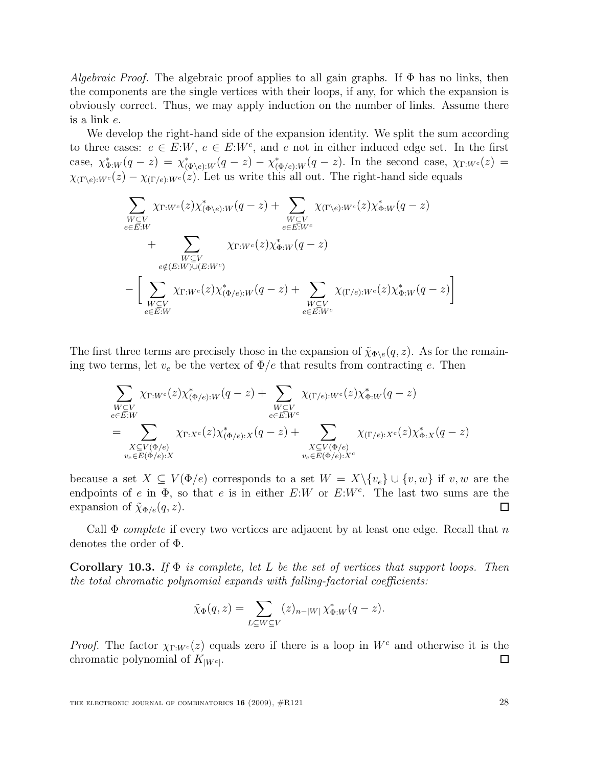Algebraic Proof. The algebraic proof applies to all gain graphs. If  $\Phi$  has no links, then the components are the single vertices with their loops, if any, for which the expansion is obviously correct. Thus, we may apply induction on the number of links. Assume there is a link e.

We develop the right-hand side of the expansion identity. We split the sum according to three cases:  $e \in E: W$ ,  $e \in E: W^c$ , and e not in either induced edge set. In the first case,  $\chi_{\Phi:W}^*(q-z) = \chi_{(\Phi \backslash e):W}^*(q-z) - \chi_{(\Phi \backslash e):W}^*(q-z)$ . In the second case,  $\chi_{\Gamma:W^c}(z) =$  $\chi_{(\Gamma \backslash e):W^c}(z) - \chi_{(\Gamma/e):W^c}(z)$ . Let us write this all out. The right-hand side equals

$$
\sum_{\substack{W \subseteq V \\ e \in E:W}} \chi_{\Gamma:W^c}(z) \chi_{(\Phi \backslash e):W}^*(q-z) + \sum_{\substack{W \subseteq V \\ e \in E:W^c}} \chi_{(\Gamma \backslash e):W^c}(z) \chi_{\Phi:W}^*(q-z) \n+ \sum_{\substack{W \subseteq V \\ e \notin (E:W) \cup (E:W^c)}} \chi_{\Gamma:W^c}(z) \chi_{\Phi:W}^*(q-z) \n- \left[ \sum_{\substack{W \subseteq V \\ e \in E:W}} \chi_{\Gamma:W^c}(z) \chi_{(\Phi / e):W}^*(q-z) + \sum_{\substack{W \subseteq V \\ e \in E:W^c}} \chi_{(\Gamma / e):W^c}(z) \chi_{\Phi:W}^*(q-z) \right]
$$

The first three terms are precisely those in the expansion of  $\tilde{\chi}_{\Phi\setminus e}(q, z)$ . As for the remaining two terms, let  $v_e$  be the vertex of  $\Phi/e$  that results from contracting e. Then

$$
\sum_{\substack{W \subseteq V \\ e \in E: W}} \chi_{\Gamma: W^c}(z) \chi_{(\Phi/e): W}^*(q-z) + \sum_{\substack{W \subseteq V \\ e \in E: W^c}} \chi_{(\Gamma/e): W^c}(z) \chi_{\Phi: W}^*(q-z) \n= \sum_{\substack{X \subseteq V(\Phi/e) \\ v_e \in E(\Phi/e): X}} \chi_{\Gamma: X^c}(z) \chi_{(\Phi/e): X}^*(q-z) + \sum_{\substack{X \subseteq V(\Phi/e) \\ v_e \in E(\Phi/e): X^c}} \chi_{(\Gamma/e): X^c}(z) \chi_{\Phi: X}^*(q-z)
$$

because a set  $X \subseteq V(\Phi/e)$  corresponds to a set  $W = X \setminus \{v_e\} \cup \{v, w\}$  if v, w are the endpoints of e in  $\Phi$ , so that e is in either E:W or E:W<sup>c</sup>. The last two sums are the expansion of  $\tilde{\chi}_{\Phi/e}(q, z)$ . 口

Call  $\Phi$  complete if every two vertices are adjacent by at least one edge. Recall that n denotes the order of Φ.

**Corollary 10.3.** If  $\Phi$  is complete, let L be the set of vertices that support loops. Then the total chromatic polynomial expands with falling-factorial coefficients:

$$
\tilde{\chi}_{\Phi}(q,z) = \sum_{L \subseteq W \subseteq V} (z)_{n-|W|} \chi_{\Phi:W}^*(q-z).
$$

*Proof.* The factor  $\chi_{\Gamma:W^c}(z)$  equals zero if there is a loop in  $W^c$  and otherwise it is the chromatic polynomial of  $K_{|W^c|}$ .  $\Box$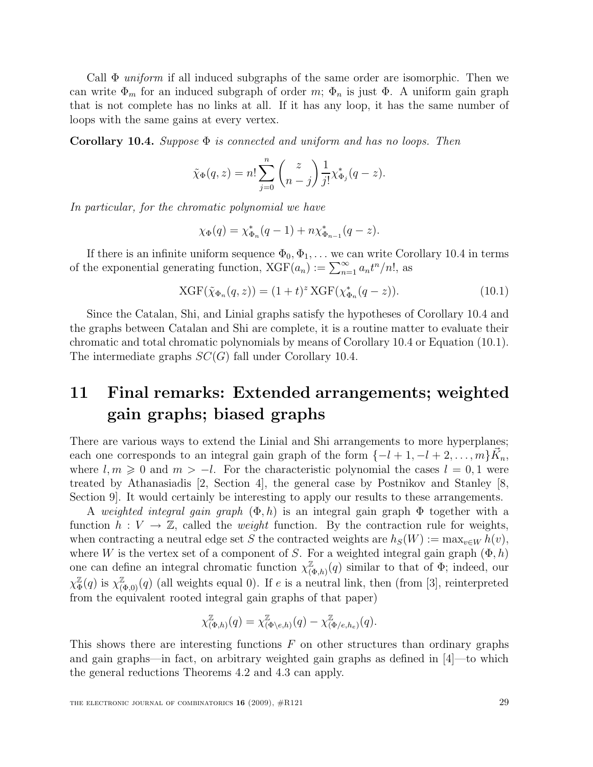Call  $\Phi$  uniform if all induced subgraphs of the same order are isomorphic. Then we can write  $\Phi_m$  for an induced subgraph of order m;  $\Phi_n$  is just  $\Phi$ . A uniform gain graph that is not complete has no links at all. If it has any loop, it has the same number of loops with the same gains at every vertex.

**Corollary 10.4.** Suppose  $\Phi$  is connected and uniform and has no loops. Then

$$
\tilde{\chi}_{\Phi}(q,z) = n! \sum_{j=0}^{n} {z \choose n-j} \frac{1}{j!} \chi_{\Phi_j}^*(q-z).
$$

In particular, for the chromatic polynomial we have

$$
\chi_{\Phi}(q) = \chi_{\Phi_n}^*(q-1) + n \chi_{\Phi_{n-1}}^*(q-z).
$$

If there is an infinite uniform sequence  $\Phi_0, \Phi_1, \dots$  we can write Corollary 10.4 in terms of the exponential generating function,  $XGF(a_n) := \sum_{n=1}^{\infty} a_n t^n/n!$ , as

XGF
$$
(\tilde{\chi}_{\Phi_n}(q, z)) = (1 + t)^z
$$
XGF $(\chi_{\Phi_n}^*(q - z))$ . (10.1)

Since the Catalan, Shi, and Linial graphs satisfy the hypotheses of Corollary 10.4 and the graphs between Catalan and Shi are complete, it is a routine matter to evaluate their chromatic and total chromatic polynomials by means of Corollary 10.4 or Equation (10.1). The intermediate graphs  $SC(G)$  fall under Corollary 10.4.

### 11 Final remarks: Extended arrangements; weighted gain graphs; biased graphs

There are various ways to extend the Linial and Shi arrangements to more hyperplanes; each one corresponds to an integral gain graph of the form  $\{-l+1, -l+2, \ldots, m\} \vec{K}_n$ , where  $l, m \geq 0$  and  $m > -l$ . For the characteristic polynomial the cases  $l = 0, 1$  were treated by Athanasiadis [2, Section 4], the general case by Postnikov and Stanley [8, Section 9]. It would certainly be interesting to apply our results to these arrangements.

A weighted integral gain graph  $(\Phi, h)$  is an integral gain graph  $\Phi$  together with a function  $h: V \to \mathbb{Z}$ , called the *weight* function. By the contraction rule for weights, when contracting a neutral edge set S the contracted weights are  $h<sub>S</sub>(W) := \max_{v \in W} h(v)$ , where W is the vertex set of a component of S. For a weighted integral gain graph  $(\Phi, h)$ one can define an integral chromatic function  $\chi^{\mathbb{Z}}_{\alpha}$  $(\Phi_{(A),h)}(q)$  similar to that of  $\Phi$ ; indeed, our  $\chi^{\mathbb{Z}}_{\Phi}(q)$  is  $\chi^{\mathbb{Z}}_{(\Phi,0)}(q)$  (all weights equal 0). If e is a neutral link, then (from [3], reinterpreted from the equivalent rooted integral gain graphs of that paper)

$$
\chi^{\mathbb{Z}}_{(\Phi,h)}(q)=\chi^{\mathbb{Z}}_{(\Phi \backslash e,h)}(q)-\chi^{\mathbb{Z}}_{(\Phi / e,h_e)}(q).
$$

This shows there are interesting functions  $F$  on other structures than ordinary graphs and gain graphs—in fact, on arbitrary weighted gain graphs as defined in  $|4|$ —to which the general reductions Theorems 4.2 and 4.3 can apply.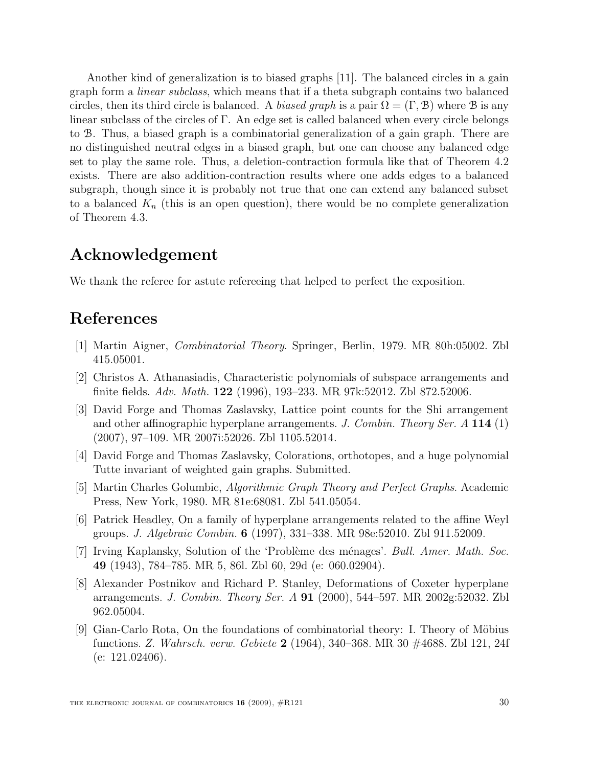Another kind of generalization is to biased graphs [11]. The balanced circles in a gain graph form a linear subclass, which means that if a theta subgraph contains two balanced circles, then its third circle is balanced. A biased graph is a pair  $\Omega = (\Gamma, \mathcal{B})$  where  $\mathcal B$  is any linear subclass of the circles of  $\Gamma$ . An edge set is called balanced when every circle belongs to B. Thus, a biased graph is a combinatorial generalization of a gain graph. There are no distinguished neutral edges in a biased graph, but one can choose any balanced edge set to play the same role. Thus, a deletion-contraction formula like that of Theorem 4.2 exists. There are also addition-contraction results where one adds edges to a balanced subgraph, though since it is probably not true that one can extend any balanced subset to a balanced  $K_n$  (this is an open question), there would be no complete generalization of Theorem 4.3.

### Acknowledgement

We thank the referee for astute refereeing that helped to perfect the exposition.

### References

- [1] Martin Aigner, Combinatorial Theory. Springer, Berlin, 1979. MR 80h:05002. Zbl 415.05001.
- [2] Christos A. Athanasiadis, Characteristic polynomials of subspace arrangements and finite fields. Adv. Math. 122 (1996), 193–233. MR 97k:52012. Zbl 872.52006.
- [3] David Forge and Thomas Zaslavsky, Lattice point counts for the Shi arrangement and other affinographic hyperplane arrangements. J. Combin. Theory Ser. A 114 (1) (2007), 97–109. MR 2007i:52026. Zbl 1105.52014.
- [4] David Forge and Thomas Zaslavsky, Colorations, orthotopes, and a huge polynomial Tutte invariant of weighted gain graphs. Submitted.
- [5] Martin Charles Golumbic, Algorithmic Graph Theory and Perfect Graphs. Academic Press, New York, 1980. MR 81e:68081. Zbl 541.05054.
- [6] Patrick Headley, On a family of hyperplane arrangements related to the affine Weyl groups. J. Algebraic Combin. 6 (1997), 331–338. MR 98e:52010. Zbl 911.52009.
- [7] Irving Kaplansky, Solution of the 'Problème des ménages'. Bull. Amer. Math. Soc. 49 (1943), 784–785. MR 5, 86l. Zbl 60, 29d (e: 060.02904).
- [8] Alexander Postnikov and Richard P. Stanley, Deformations of Coxeter hyperplane arrangements. J. Combin. Theory Ser. A 91 (2000), 544–597. MR 2002g:52032. Zbl 962.05004.
- [9] Gian-Carlo Rota, On the foundations of combinatorial theory: I. Theory of Möbius functions. Z. Wahrsch. verw. Gebiete 2 (1964), 340–368. MR 30 #4688. Zbl 121, 24f (e: 121.02406).